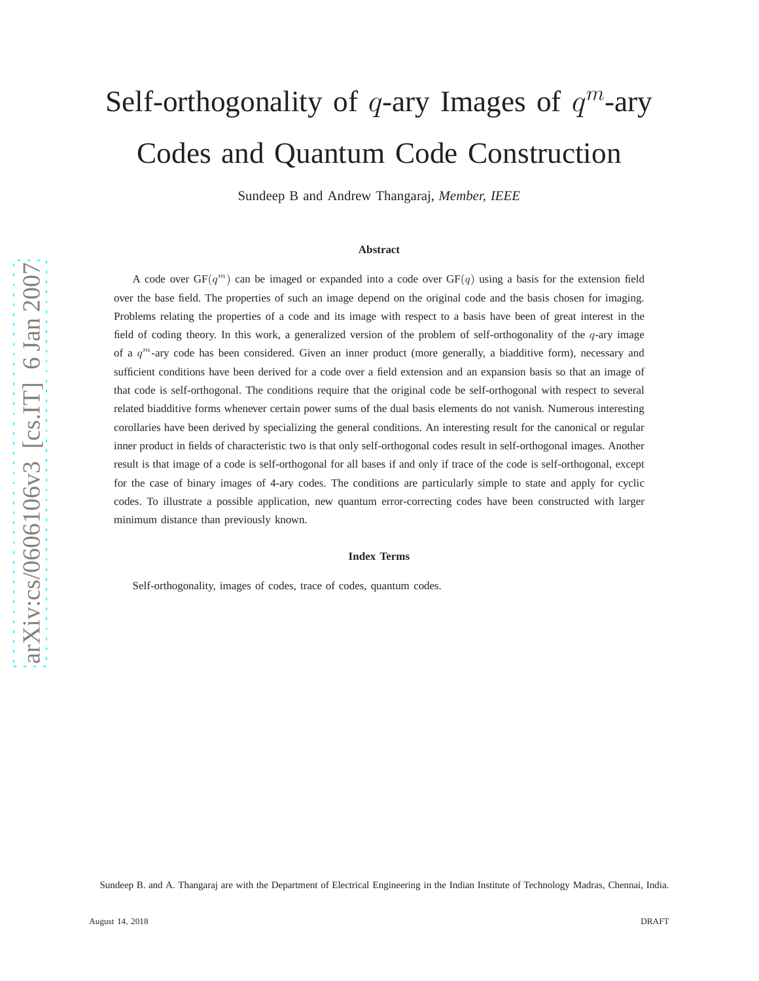# Self-orthogonality of  $q$ -ary Images of  $q^m$ -ary Codes and Quantum Code Construction

Sundeep B and Andrew Thangaraj, *Member, IEEE*

#### **Abstract**

A code over  $GF(q^m)$  can be imaged or expanded into a code over  $GF(q)$  using a basis for the extension field over the base field. The properties of such an image depend on the original code and the basis chosen for imaging. Problems relating the properties of a code and its image with respect to a basis have been of great interest in the field of coding theory. In this work, a generalized version of the problem of self-orthogonality of the q-ary image of a  $q^m$ -ary code has been considered. Given an inner product (more generally, a biadditive form), necessary and sufficient conditions have been derived for a code over a field extension and an expansion basis so that an image of that code is self-orthogonal. The conditions require that the original code be self-orthogonal with respect to several related biadditive forms whenever certain power sums of the dual basis elements do not vanish. Numerous interesting corollaries have been derived by specializing the general conditions. An interesting result for the canonical or regular inner product in fields of characteristic two is that only self-orthogonal codes result in self-orthogonal images. Another result is that image of a code is self-orthogonal for all bases if and only if trace of the code is self-orthogonal, except for the case of binary images of 4-ary codes. The conditions are particularly simple to state and apply for cyclic codes. To illustrate a possible application, new quantum error-correcting codes have been constructed with larger minimum distance than previously known.

#### **Index Terms**

Self-orthogonality, images of codes, trace of codes, quantum codes.

Sundeep B. and A. Thangaraj are with the Department of Electrical Engineering in the Indian Institute of Technology Madras, Chennai, India.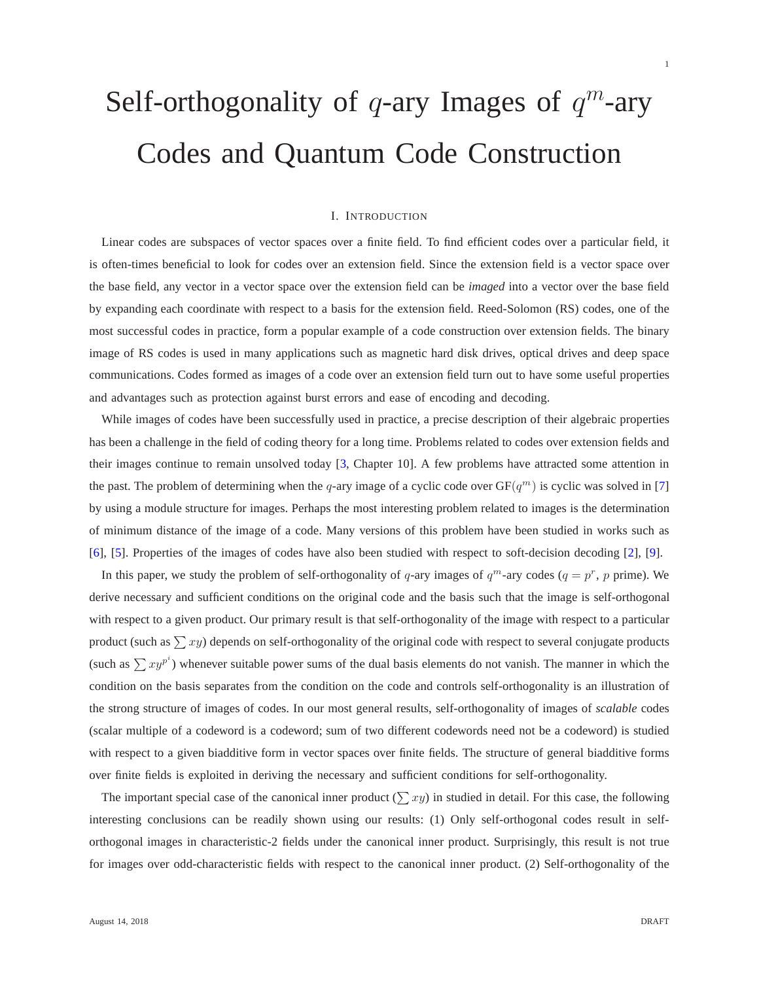# Self-orthogonality of  $q$ -ary Images of  $q^m$ -ary Codes and Quantum Code Construction

#### I. INTRODUCTION

Linear codes are subspaces of vector spaces over a finite field. To find efficient codes over a particular field, it is often-times beneficial to look for codes over an extension field. Since the extension field is a vector space over the base field, any vector in a vector space over the extension field can be *imaged* into a vector over the base field by expanding each coordinate with respect to a basis for the extension field. Reed-Solomon (RS) codes, one of the most successful codes in practice, form a popular example of a code construction over extension fields. The binary image of RS codes is used in many applications such as magnetic hard disk drives, optical drives and deep space communications. Codes formed as images of a code over an extension field turn out to have some useful properties and advantages such as protection against burst errors and ease of encoding and decoding.

While images of codes have been successfully used in practice, a precise description of their algebraic properties has been a challenge in the field of coding theory for a long time. Problems related to codes over extension fields and their images continue to remain unsolved today [\[3,](#page-18-0) Chapter 10]. A few problems have attracted some attention in the past. The problem of determining when the q-ary image of a cyclic code over  $GF(q^m)$  is cyclic was solved in [\[7\]](#page-18-1) by using a module structure for images. Perhaps the most interesting problem related to images is the determination of minimum distance of the image of a code. Many versions of this problem have been studied in works such as [\[6\]](#page-18-2), [\[5\]](#page-18-3). Properties of the images of codes have also been studied with respect to soft-decision decoding [\[2\]](#page-18-4), [\[9\]](#page-18-5).

In this paper, we study the problem of self-orthogonality of q-ary images of  $q^m$ -ary codes  $(q = p^r, p$  prime). We derive necessary and sufficient conditions on the original code and the basis such that the image is self-orthogonal with respect to a given product. Our primary result is that self-orthogonality of the image with respect to a particular product (such as  $\sum xy$ ) depends on self-orthogonality of the original code with respect to several conjugate products (such as  $\sum xy^{p^i}$ ) whenever suitable power sums of the dual basis elements do not vanish. The manner in which the condition on the basis separates from the condition on the code and controls self-orthogonality is an illustration of the strong structure of images of codes. In our most general results, self-orthogonality of images of *scalable* codes (scalar multiple of a codeword is a codeword; sum of two different codewords need not be a codeword) is studied with respect to a given biadditive form in vector spaces over finite fields. The structure of general biadditive forms over finite fields is exploited in deriving the necessary and sufficient conditions for self-orthogonality.

The important special case of the canonical inner product  $(\sum xy)$  in studied in detail. For this case, the following interesting conclusions can be readily shown using our results: (1) Only self-orthogonal codes result in selforthogonal images in characteristic-2 fields under the canonical inner product. Surprisingly, this result is not true for images over odd-characteristic fields with respect to the canonical inner product. (2) Self-orthogonality of the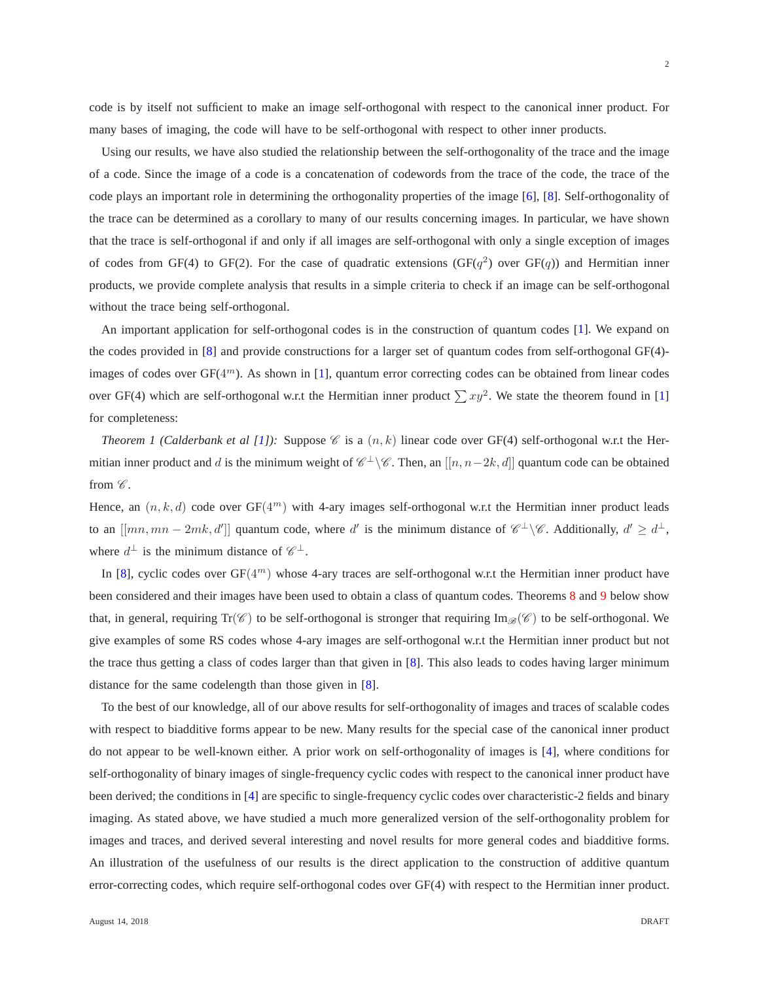$\mathfrak{D}$ 

code is by itself not sufficient to make an image self-orthogonal with respect to the canonical inner product. For many bases of imaging, the code will have to be self-orthogonal with respect to other inner products.

Using our results, we have also studied the relationship between the self-orthogonality of the trace and the image of a code. Since the image of a code is a concatenation of codewords from the trace of the code, the trace of the code plays an important role in determining the orthogonality properties of the image [\[6\]](#page-18-2), [\[8\]](#page-18-6). Self-orthogonality of the trace can be determined as a corollary to many of our results concerning images. In particular, we have shown that the trace is self-orthogonal if and only if all images are self-orthogonal with only a single exception of images of codes from GF(4) to GF(2). For the case of quadratic extensions (GF( $q^2$ ) over GF( $q$ )) and Hermitian inner products, we provide complete analysis that results in a simple criteria to check if an image can be self-orthogonal without the trace being self-orthogonal.

An important application for self-orthogonal codes is in the construction of quantum codes [\[1\]](#page-18-7). We expand on the codes provided in [\[8\]](#page-18-6) and provide constructions for a larger set of quantum codes from self-orthogonal GF(4)- images of codes over GF(4<sup>m</sup>). As shown in [\[1\]](#page-18-7), quantum error correcting codes can be obtained from linear codes over GF(4) which are self-orthogonal w.r.t the Hermitian inner product  $\sum xy^2$ . We state the theorem found in [\[1\]](#page-18-7) for completeness:

*Theorem 1 (Calderbank et al [\[1\]](#page-18-7)):* Suppose  $\mathscr C$  is a  $(n, k)$  linear code over GF(4) self-orthogonal w.r.t the Hermitian inner product and d is the minimum weight of  $\mathscr{C}^{\perp}\backslash\mathscr{C}$ . Then, an  $[[n, n-2k, d]]$  quantum code can be obtained from  $\mathscr C$ .

Hence, an  $(n, k, d)$  code over  $GF(4<sup>m</sup>)$  with 4-ary images self-orthogonal w.r.t the Hermitian inner product leads to an  $[[mn, mn - 2mk, d']]$  quantum code, where d' is the minimum distance of  $\mathscr{C}^{\perp}\backslash\mathscr{C}$ . Additionally,  $d' \geq d^{\perp}$ , where  $d^{\perp}$  is the minimum distance of  $\mathscr{C}^{\perp}$ .

In [\[8\]](#page-18-6), cyclic codes over  $GF(4^m)$  whose 4-ary traces are self-orthogonal w.r.t the Hermitian inner product have been considered and their images have been used to obtain a class of quantum codes. Theorems [8](#page-10-0) and [9](#page-10-1) below show that, in general, requiring  $Tr(\mathcal{C})$  to be self-orthogonal is stronger that requiring  $Im_{\mathcal{B}}(\mathcal{C})$  to be self-orthogonal. We give examples of some RS codes whose 4-ary images are self-orthogonal w.r.t the Hermitian inner product but not the trace thus getting a class of codes larger than that given in [\[8\]](#page-18-6). This also leads to codes having larger minimum distance for the same codelength than those given in [\[8\]](#page-18-6).

To the best of our knowledge, all of our above results for self-orthogonality of images and traces of scalable codes with respect to biadditive forms appear to be new. Many results for the special case of the canonical inner product do not appear to be well-known either. A prior work on self-orthogonality of images is [\[4\]](#page-18-8), where conditions for self-orthogonality of binary images of single-frequency cyclic codes with respect to the canonical inner product have been derived; the conditions in [\[4\]](#page-18-8) are specific to single-frequency cyclic codes over characteristic-2 fields and binary imaging. As stated above, we have studied a much more generalized version of the self-orthogonality problem for images and traces, and derived several interesting and novel results for more general codes and biadditive forms. An illustration of the usefulness of our results is the direct application to the construction of additive quantum error-correcting codes, which require self-orthogonal codes over GF(4) with respect to the Hermitian inner product.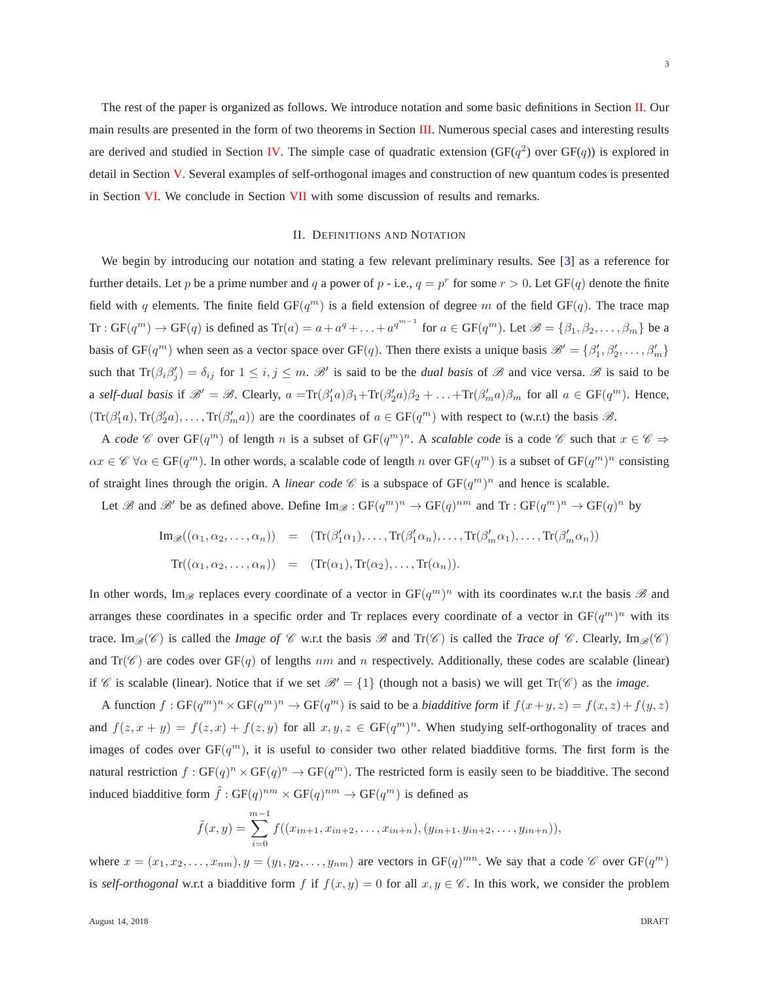3

The rest of the paper is organized as follows. We introduce notation and some basic definitions in Section [II.](#page-3-0) Our main results are presented in the form of two theorems in Section [III.](#page-4-0) Numerous special cases and interesting results are derived and studied in Section [IV.](#page-10-2) The simple case of quadratic extension ( $GF(q^2)$  over  $GF(q)$ ) is explored in detail in Section [V.](#page-13-0) Several examples of self-orthogonal images and construction of new quantum codes is presented in Section [VI.](#page-15-0) We conclude in Section [VII](#page-18-9) with some discussion of results and remarks.

## II. DEFINITIONS AND NOTATION

<span id="page-3-0"></span>We begin by introducing our notation and stating a few relevant preliminary results. See [\[3\]](#page-18-0) as a reference for further details. Let p be a prime number and q a power of p - i.e.,  $q = p^r$  for some  $r > 0$ . Let  $GF(q)$  denote the finite field with q elements. The finite field  $GF(q^m)$  is a field extension of degree m of the field  $GF(q)$ . The trace map Tr:  $GF(q^m) \to GF(q)$  is defined as  $Tr(a) = a + a^q + \ldots + a^{q^{m-1}}$  for  $a \in GF(q^m)$ . Let  $\mathscr{B} = \{\beta_1, \beta_2, \ldots, \beta_m\}$  be a basis of  $GF(q^m)$  when seen as a vector space over  $GF(q)$ . Then there exists a unique basis  $\mathscr{B}' = \{\beta'_1, \beta'_2, \dots, \beta'_m\}$ such that  $\text{Tr}(\beta_i \beta'_j) = \delta_{ij}$  for  $1 \leq i, j \leq m$ .  $\mathcal{B}'$  is said to be the *dual basis* of  $\mathcal{B}$  and vice versa.  $\mathcal{B}$  is said to be a *self-dual basis* if  $\mathscr{B}' = \mathscr{B}$ . Clearly,  $a = \text{Tr}(\beta'_1 a)\beta_1 + \text{Tr}(\beta'_2 a)\beta_2 + \ldots + \text{Tr}(\beta'_m a)\beta_m$  for all  $a \in \text{GF}(q^m)$ . Hence,  $(Tr(\beta_1^{\prime}a), Tr(\beta_2^{\prime}a), \ldots, Tr(\beta_m^{\prime}a))$  are the coordinates of  $a \in GF(q^m)$  with respect to (w.r.t) the basis  $\mathscr{B}$ .

A *code*  $\mathscr C$  over  $GF(q^m)$  of length n is a subset of  $GF(q^m)^n$ . A *scalable code* is a code  $\mathscr C$  such that  $x \in \mathscr C \Rightarrow$  $\alpha x \in \mathscr{C}$   $\forall \alpha \in \mathrm{GF}(q^m)$ . In other words, a scalable code of length n over  $\mathrm{GF}(q^m)$  is a subset of  $\mathrm{GF}(q^m)^n$  consisting of straight lines through the origin. A *linear code*  $\mathscr C$  is a subspace of  $GF(q^m)^n$  and hence is scalable.

Let B and B' be as defined above. Define  $\text{Im}_{\mathscr{B}} : \text{GF}(q^m)^n \to \text{GF}(q)^{nm}$  and  $\text{Tr} : \text{GF}(q^m)^n \to \text{GF}(q)^n$  by

$$
\mathrm{Im}_{\mathscr{B}}((\alpha_1, \alpha_2, \dots, \alpha_n)) = (\mathrm{Tr}(\beta'_1 \alpha_1), \dots, \mathrm{Tr}(\beta'_1 \alpha_n), \dots, \mathrm{Tr}(\beta'_m \alpha_1), \dots, \mathrm{Tr}(\beta'_m \alpha_n))
$$
  

$$
\mathrm{Tr}((\alpha_1, \alpha_2, \dots, \alpha_n)) = (\mathrm{Tr}(\alpha_1), \mathrm{Tr}(\alpha_2), \dots, \mathrm{Tr}(\alpha_n)).
$$

In other words, Im<sub> $\mathscr{B}$ </sub> replaces every coordinate of a vector in GF $(q^m)^n$  with its coordinates w.r.t the basis  $\mathscr{B}$  and arranges these coordinates in a specific order and Tr replaces every coordinate of a vector in  $GF(q^m)^n$  with its trace. Im<sub>B</sub>(C) is called the *Image of* C w.r.t the basis B and  $Tr(\mathcal{C})$  is called the *Trace of* C. Clearly, Im<sub>B</sub>(C) and  $Tr(\mathscr{C})$  are codes over  $GF(q)$  of lengths nm and n respectively. Additionally, these codes are scalable (linear) if C is scalable (linear). Notice that if we set  $\mathcal{B}' = \{1\}$  (though not a basis) we will get  $Tr(\mathcal{C})$  as the *image*.

A function  $f: GF(q^m)^n \times GF(q^m)^n \to GF(q^m)$  is said to be a *biadditive form* if  $f(x+y, z) = f(x, z) + f(y, z)$ and  $f(z, x + y) = f(z, x) + f(z, y)$  for all  $x, y, z \in GF(q^m)^n$ . When studying self-orthogonality of traces and images of codes over  $GF(q^m)$ , it is useful to consider two other related biadditive forms. The first form is the natural restriction  $f: GF(q)^n \times GF(q)^n \to GF(q^m)$ . The restricted form is easily seen to be biadditive. The second induced biadditive form  $\tilde{f}: GF(q)^{nm} \times GF(q)^{nm} \rightarrow GF(q^m)$  is defined as

$$
\tilde{f}(x,y) = \sum_{i=0}^{m-1} f((x_{in+1}, x_{in+2}, \dots, x_{in+n}), (y_{in+1}, y_{in+2}, \dots, y_{in+n})),
$$

where  $x = (x_1, x_2, \dots, x_{nm})$ ,  $y = (y_1, y_2, \dots, y_{nm})$  are vectors in  $GF(q)^{mn}$ . We say that a code  $\mathscr{C}$  over  $GF(q^m)$ is *self-orthogonal* w.r.t a biadditive form f if  $f(x, y) = 0$  for all  $x, y \in \mathscr{C}$ . In this work, we consider the problem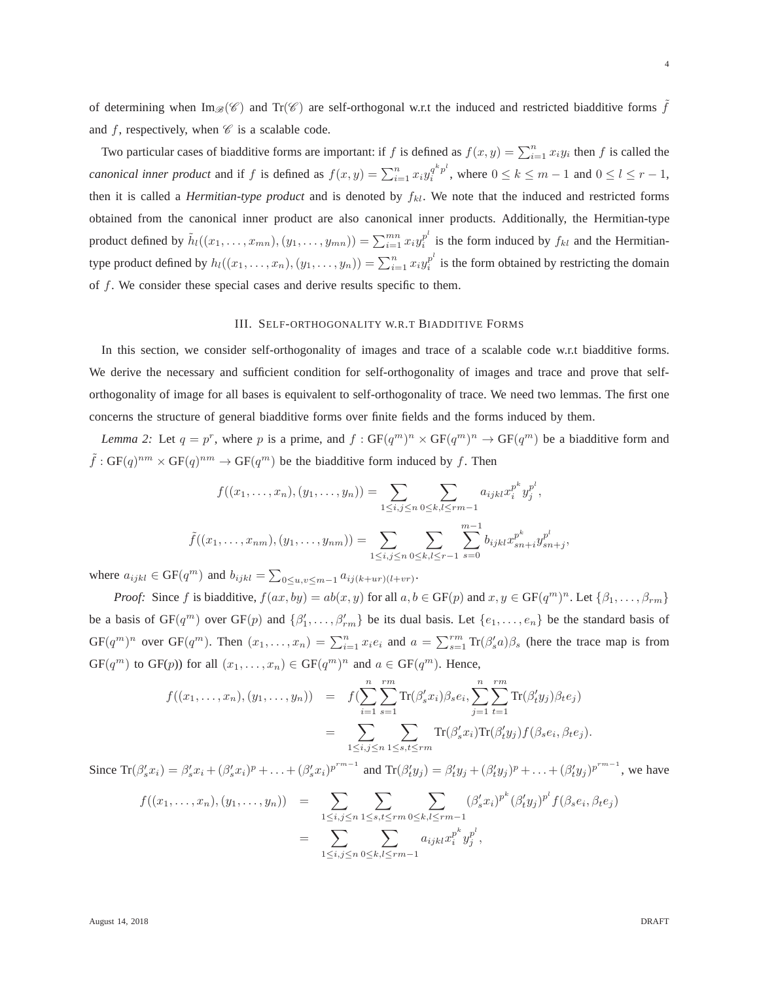of determining when  $\text{Im}_{\mathscr{B}}(\mathscr{C})$  and  $\text{Tr}(\mathscr{C})$  are self-orthogonal w.r.t the induced and restricted biadditive forms f and f, respectively, when  $\mathscr C$  is a scalable code.

Two particular cases of biadditive forms are important: if f is defined as  $f(x, y) = \sum_{i=1}^{n} x_i y_i$  then f is called the *canonical inner product* and if f is defined as  $f(x, y) = \sum_{i=1}^{n} x_i y_i^{q^k p^l}$  $a_i^{q^T} p^r$ , where  $0 \le k \le m-1$  and  $0 \le l \le r-1$ , then it is called a *Hermitian-type product* and is denoted by  $f_{kl}$ . We note that the induced and restricted forms obtained from the canonical inner product are also canonical inner products. Additionally, the Hermitian-type product defined by  $\tilde{h}_l((x_1, \ldots, x_{mn}), (y_1, \ldots, y_{mn})) = \sum_{i=1}^{mn} x_i y_i^{p^l}$  $i$ <sup>*p*</sup> is the form induced by  $f_{kl}$  and the Hermitiantype product defined by  $h_l((x_1,\ldots,x_n),(y_1,\ldots,y_n))=\sum_{i=1}^n x_i y_i^{p^l}$  $i$ <sup>*p*</sup> is the form obtained by restricting the domain of f. We consider these special cases and derive results specific to them.

## III. SELF-ORTHOGONALITY W.R.T BIADDITIVE FORMS

<span id="page-4-0"></span>In this section, we consider self-orthogonality of images and trace of a scalable code w.r.t biadditive forms. We derive the necessary and sufficient condition for self-orthogonality of images and trace and prove that selforthogonality of image for all bases is equivalent to self-orthogonality of trace. We need two lemmas. The first one concerns the structure of general biadditive forms over finite fields and the forms induced by them.

<span id="page-4-1"></span>*Lemma 2:* Let  $q = p^r$ , where p is a prime, and  $f : GF(q^m)^n \times GF(q^m)^n \to GF(q^m)$  be a biadditive form and  $\tilde{f}: GF(q)^{nm} \times GF(q)^{nm} \to GF(q^m)$  be the biadditive form induced by f. Then

$$
f((x_1, \ldots, x_n), (y_1, \ldots, y_n)) = \sum_{1 \le i, j \le n} \sum_{0 \le k, l \le rm-1} a_{ijkl} x_i^{p^k} y_j^{p^l},
$$

$$
\tilde{f}((x_1, \ldots, x_{nm}), (y_1, \ldots, y_{nm})) = \sum_{1 \le i, j \le n} \sum_{0 \le k, l \le r-1} \sum_{s=0}^{m-1} b_{ijkl} x_{sn+i}^{p^k} y_{sn+j}^{p^l}
$$

where  $a_{ijkl} \in \text{GF}(q^m)$  and  $b_{ijkl} = \sum_{0 \le u,v \le m-1} a_{ij(k+ur)(l+vr)}$ .

*Proof:* Since f is biadditive,  $f(ax, by) = ab(x, y)$  for all  $a, b \in GF(p)$  and  $x, y \in GF(q^m)^n$ . Let  $\{\beta_1, \ldots, \beta_{rm}\}$ be a basis of  $GF(q^m)$  over  $GF(p)$  and  $\{\beta'_1,\ldots,\beta'_{rm}\}$  be its dual basis. Let  $\{e_1,\ldots,e_n\}$  be the standard basis of  $GF(q^m)^n$  over  $GF(q^m)$ . Then  $(x_1, \ldots, x_n) = \sum_{i=1}^n x_i e_i$  and  $a = \sum_{s=1}^r Tr(\beta_s^t a) \beta_s$  (here the trace map is from  $GF(q^m)$  to  $GF(p)$ ) for all  $(x_1, \ldots, x_n) \in GF(q^m)^n$  and  $a \in GF(q^m)$ . Hence,

$$
f((x_1,...,x_n),(y_1,...,y_n)) = f(\sum_{i=1}^n \sum_{s=1}^{rm} \text{Tr}(\beta'_s x_i) \beta_s e_i, \sum_{j=1}^n \sum_{t=1}^{rm} \text{Tr}(\beta'_t y_j) \beta_t e_j)
$$
  
= 
$$
\sum_{1 \le i,j \le n} \sum_{1 \le s,t \le rm} \text{Tr}(\beta'_s x_i) \text{Tr}(\beta'_t y_j) f(\beta_s e_i, \beta_t e_j).
$$

Since  $\text{Tr}(\beta_s' x_i) = \beta_s' x_i + (\beta_s' x_i)^p + \ldots + (\beta_s' x_i)^{p^{r_m-1}}$  and  $\text{Tr}(\beta_t' y_j) = \beta_t' y_j + (\beta_t' y_j)^p + \ldots + (\beta_t' y_j)^{p^{r_m-1}}$ , we have

$$
f((x_1, ..., x_n), (y_1, ..., y_n)) = \sum_{1 \leq i, j \leq n} \sum_{1 \leq s, t \leq rm} \sum_{0 \leq k, l \leq rm-1} (\beta'_s x_i)^{p^k} (\beta'_t y_j)^{p^l} f(\beta_s e_i, \beta_t e_j)
$$
  
= 
$$
\sum_{1 \leq i, j \leq n} \sum_{0 \leq k, l \leq rm-1} a_{ijkl} x_i^{p^k} y_j^{p^l},
$$

,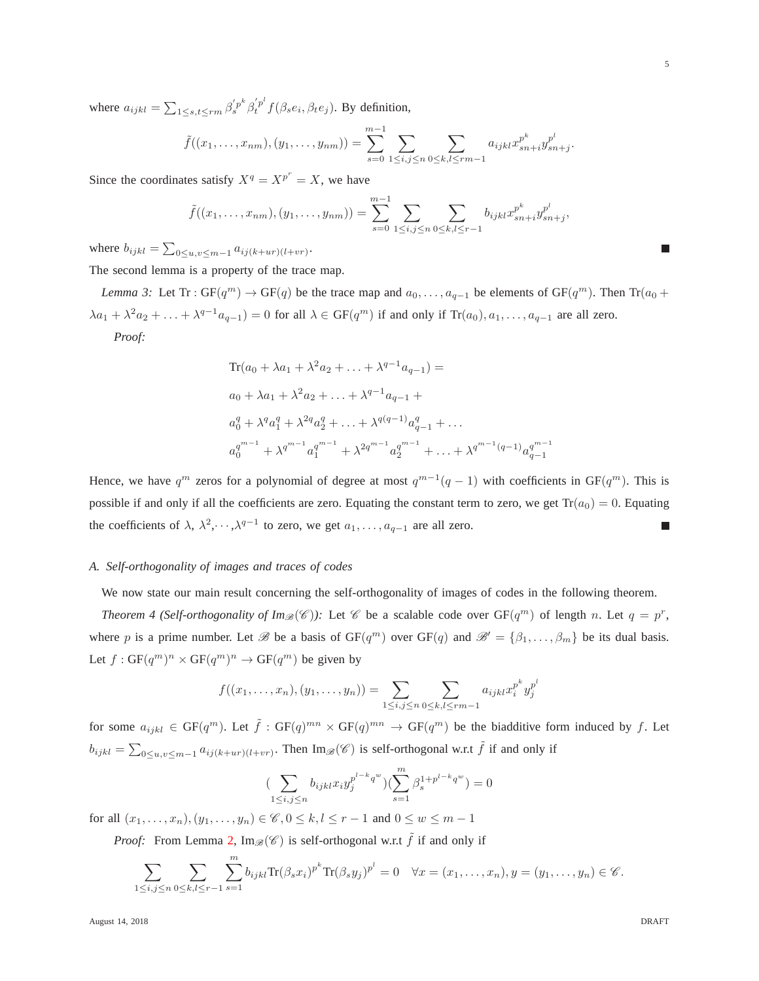where  $a_{ijkl} = \sum_{1 \le s,t \le rm} \beta_s'^{p^k} \beta_t^{'p^l}$  $t^{p}$   $f(\beta_{s}e_{i}, \beta_{t}e_{j})$ . By definition,

$$
\tilde{f}((x_1,\ldots,x_{nm}),(y_1,\ldots,y_{nm}))=\sum_{s=0}^{m-1}\sum_{1\leq i,j\leq n}\sum_{0\leq k,l\leq rm-1}a_{ijkl}x_{sn+i}^{p^k}y_{sn+j}^{p^l}.
$$

Since the coordinates satisfy  $X^q = X^{p^r} = X$ , we have

$$
\tilde{f}((x_1,\ldots,x_{nm}),(y_1,\ldots,y_{nm}))=\sum_{s=0}^{m-1}\sum_{1\leq i,j\leq n}\sum_{0\leq k,l\leq r-1}b_{ijkl}x_{sn+i}^{p^k}y_{sn+j}^{p^l},
$$

where  $b_{ijkl} = \sum_{0 \le u,v \le m-1} a_{ij(k+ur)(l+vr)}$ .

<span id="page-5-0"></span>The second lemma is a property of the trace map.

*Lemma 3:* Let Tr :  $GF(q^m) \to GF(q)$  be the trace map and  $a_0, \ldots, a_{q-1}$  be elements of  $GF(q^m)$ . Then  $Tr(a_0 +$  $\lambda a_1 + \lambda^2 a_2 + \ldots + \lambda^{q-1} a_{q-1} = 0$  for all  $\lambda \in \text{GF}(q^m)$  if and only if  $\text{Tr}(a_0), a_1, \ldots, a_{q-1}$  are all zero. *Proof:*

$$
Tr(a_0 + \lambda a_1 + \lambda^2 a_2 + \ldots + \lambda^{q-1} a_{q-1}) =
$$
  
\n
$$
a_0 + \lambda a_1 + \lambda^2 a_2 + \ldots + \lambda^{q-1} a_{q-1} +
$$
  
\n
$$
a_0^q + \lambda^q a_1^q + \lambda^{2q} a_2^q + \ldots + \lambda^{q(q-1)} a_{q-1}^q + \ldots
$$
  
\n
$$
a_0^{q^{m-1}} + \lambda^{q^{m-1}} a_1^{q^{m-1}} + \lambda^{2q^{m-1}} a_2^{q^{m-1}} + \ldots + \lambda^{q^{m-1}(q-1)} a_{q-1}^{q^{m-1}}
$$

Hence, we have  $q^m$  zeros for a polynomial of degree at most  $q^{m-1}(q-1)$  with coefficients in GF $(q^m)$ . This is possible if and only if all the coefficients are zero. Equating the constant term to zero, we get  $Tr(a_0) = 0$ . Equating the coefficients of  $\lambda$ ,  $\lambda^2$ ,  $\cdots$ ,  $\lambda^{q-1}$  to zero, we get  $a_1, \ldots, a_{q-1}$  are all zero.

## *A. Self-orthogonality of images and traces of codes*

We now state our main result concerning the self-orthogonality of images of codes in the following theorem.

*Theorem 4 (Self-orthogonality of*  $Im_{\mathcal{B}}(\mathscr{C})$ *):* Let  $\mathscr{C}$  be a scalable code over  $GF(q^m)$  of length n. Let  $q = p^r$ , where p is a prime number. Let B be a basis of  $GF(q^m)$  over  $GF(q)$  and  $\mathcal{B}' = {\beta_1, \dots, \beta_m}$  be its dual basis. Let  $f: GF(q^m)^n \times GF(q^m)^n \rightarrow GF(q^m)$  be given by

$$
f((x_1,\ldots,x_n),(y_1,\ldots,y_n)) = \sum_{1 \leq i,j \leq n} \sum_{0 \leq k,l \leq rm-1} a_{ijkl} x_i^{p^k} y_j^{p^l}
$$

for some  $a_{ijkl} \in GF(q^m)$ . Let  $\tilde{f}: GF(q)^{mn} \times GF(q)^{mn} \to GF(q^m)$  be the biadditive form induced by f. Let  $b_{ijkl} = \sum_{0 \le u,v \le m-1} a_{ij(k+ur)(l+vr)}$ . Then  $\text{Im}_{\mathscr{B}}(\mathscr{C})$  is self-orthogonal w.r.t  $\tilde{f}$  if and only if

$$
(\sum_{1 \le i,j \le n} b_{ijkl} x_i y_j^{p^{l-k}q^w}) (\sum_{s=1}^m \beta_s^{1+p^{l-k}q^w}) = 0
$$

for all  $(x_1, ..., x_n), (y_1, ..., y_n) \in \mathscr{C}, 0 \leq k, l \leq r - 1$  and  $0 \leq w \leq m - 1$ 

*Proof:* From Lemma [2,](#page-4-1)  $\text{Im}_{\mathscr{B}}(\mathscr{C})$  is self-orthogonal w.r.t  $\tilde{f}$  if and only if

$$
\sum_{1\leq i,j\leq n}\sum_{0\leq k,l\leq r-1}\sum_{s=1}^m b_{ijkl}\text{Tr}(\beta_sx_i)^{p^k}\text{Tr}(\beta_sy_j)^{p^l}=0 \quad \forall x=(x_1,\ldots,x_n), y=(y_1,\ldots,y_n)\in \mathscr{C}.
$$

August 14, 2018 DRAFT

<span id="page-5-1"></span>T.

5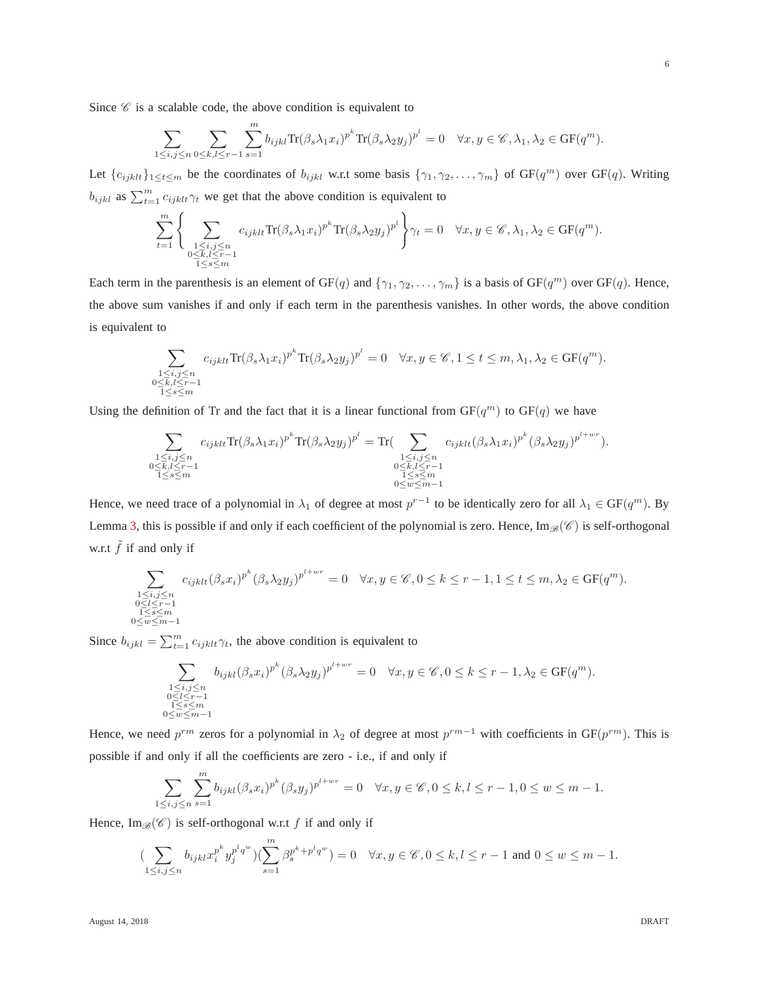Since  $\mathscr C$  is a scalable code, the above condition is equivalent to

$$
\sum_{1 \le i,j \le n} \sum_{0 \le k,l \le r-1} \sum_{s=1}^m b_{ijkl} \text{Tr}(\beta_s \lambda_1 x_i)^{p^k} \text{Tr}(\beta_s \lambda_2 y_j)^{p^l} = 0 \quad \forall x, y \in \mathscr{C}, \lambda_1, \lambda_2 \in \text{GF}(q^m).
$$

Let  $\{c_{ijklt}\}_{1 \leq t \leq m}$  be the coordinates of  $b_{ijkl}$  w.r.t some basis  $\{\gamma_1, \gamma_2, \ldots, \gamma_m\}$  of  $GF(q^m)$  over  $GF(q)$ . Writing  $b_{ijkl}$  as  $\sum_{t=1}^{m} c_{ijkl} \gamma_t$  we get that the above condition is equivalent to

$$
\sum_{t=1}^{m} \Bigg\{\sum_{\substack{1 \le i,j \le n \\ 0 \le k,l \le r-1 \\ 1 \le s \le m}} c_{ijklt} \text{Tr}(\beta_s \lambda_1 x_i)^{p^k} \text{Tr}(\beta_s \lambda_2 y_j)^{p^l}\Bigg\} \gamma_t = 0 \quad \forall x, y \in \mathscr{C}, \lambda_1, \lambda_2 \in \text{GF}(q^m).
$$

Each term in the parenthesis is an element of  $GF(q)$  and  $\{\gamma_1, \gamma_2, \ldots, \gamma_m\}$  is a basis of  $GF(q^m)$  over  $GF(q)$ . Hence, the above sum vanishes if and only if each term in the parenthesis vanishes. In other words, the above condition is equivalent to

$$
\sum_{\substack{1 \le i,j \le n \\ 0 \le k,l \le r-1 \\ 1 \le s \le m}} c_{ijklt} \text{Tr}(\beta_s \lambda_1 x_i)^{p^k} \text{Tr}(\beta_s \lambda_2 y_j)^{p^l} = 0 \quad \forall x, y \in \mathscr{C}, 1 \le t \le m, \lambda_1, \lambda_2 \in \text{GF}(q^m).
$$

Using the definition of Tr and the fact that it is a linear functional from  $GF(q^m)$  to  $GF(q)$  we have

$$
\sum_{\substack{1 \leq i,j \leq n \\ 0 \leq k, l \leq r-1 \\ 1 \leq s \leq m}} c_{ijklt} \text{Tr}(\beta_s \lambda_1 x_i)^{p^k} \text{Tr}(\beta_s \lambda_2 y_j)^{p^l} = \text{Tr}(\sum_{\substack{1 \leq i,j \leq n \\ 0 \leq k, l \leq r-1 \\ 1 \leq s \leq m}} c_{ijklt} (\beta_s \lambda_1 x_i)^{p^k} (\beta_s \lambda_2 y_j)^{p^{l+wr}}).
$$

Hence, we need trace of a polynomial in  $\lambda_1$  of degree at most  $p^{r-1}$  to be identically zero for all  $\lambda_1 \in GF(q^m)$ . By Lemma [3,](#page-5-0) this is possible if and only if each coefficient of the polynomial is zero. Hence,  $\text{Im}_{\mathscr{B}}(\mathscr{C})$  is self-orthogonal w.r.t  $\tilde{f}$  if and only if

$$
\sum_{\substack{1 \le i,j \le n \\ 0 \le l \le r-1 \\ 1 \le s \le m \\ 1 \le s \le m-1}} c_{ijklt} (\beta_s x_i)^{p^k} (\beta_s \lambda_2 y_j)^{p^{l+wr}} = 0 \quad \forall x, y \in \mathscr{C}, 0 \le k \le r-1, 1 \le t \le m, \lambda_2 \in \text{GF}(q^m).
$$

Since  $b_{ijkl} = \sum_{t=1}^{m} c_{ijkl} \gamma_t$ , the above condition is equivalent to

$$
\sum_{\substack{1 \leq i,j \leq n \\ 0 \leq l \leq r-1 \\ 1 \leq s \leq m \\ 0 \leq w \leq m-1}} b_{ijkl} (\beta_s x_i)^{p^k} (\beta_s \lambda_2 y_j)^{p^{l+wr}} = 0 \quad \forall x, y \in \mathscr{C}, 0 \leq k \leq r-1, \lambda_2 \in \text{GF}(q^m).
$$

Hence, we need  $p^{rm}$  zeros for a polynomial in  $\lambda_2$  of degree at most  $p^{rm-1}$  with coefficients in GF( $p^{rm}$ ). This is possible if and only if all the coefficients are zero - i.e., if and only if

$$
\sum_{1 \le i,j \le n} \sum_{s=1}^m b_{ijkl} (\beta_s x_i)^{p^k} (\beta_s y_j)^{p^{l+wr}} = 0 \quad \forall x, y \in \mathscr{C}, 0 \le k, l \le r-1, 0 \le w \le m-1.
$$

Hence,  $\text{Im}_{\mathscr{B}}(\mathscr{C})$  is self-orthogonal w.r.t f if and only if

$$
(\sum_{1\leq i,j\leq n}b_{ijkl}x_i^{p^k}y_j^{p^lq^w})(\sum_{s=1}^m\beta_s^{p^k+p^lq^w})=0\quad \forall x,y\in \mathscr{C}, 0\leq k,l\leq r-1 \text{ and } 0\leq w\leq m-1.
$$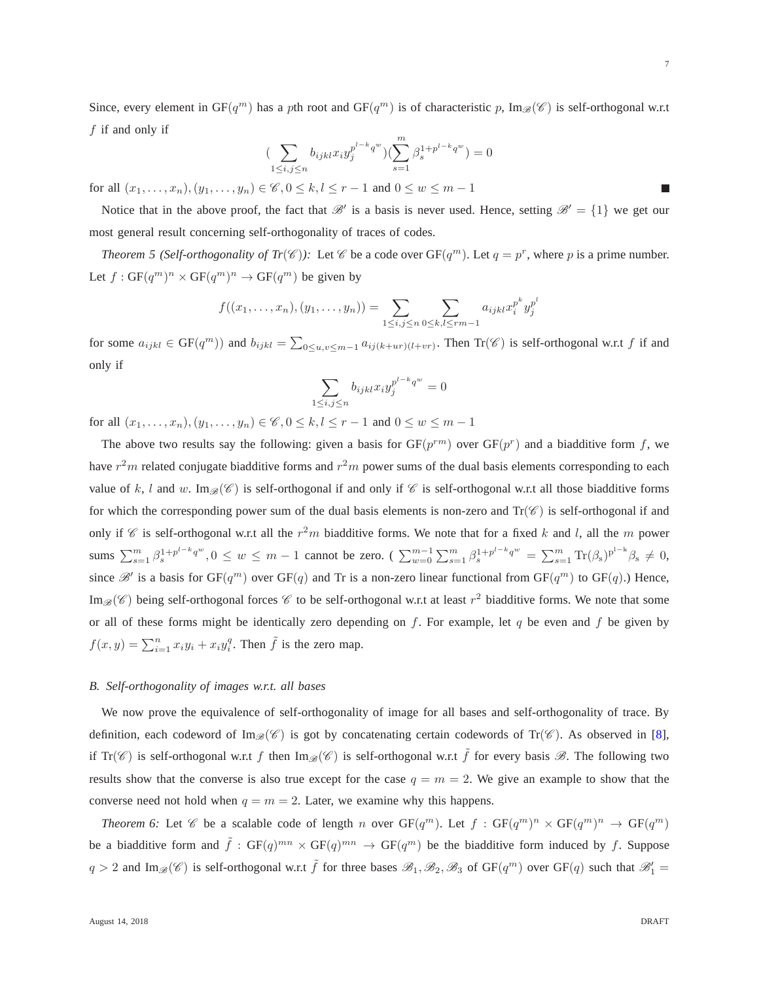7

Since, every element in GF( $q^m$ ) has a pth root and GF( $q^m$ ) is of characteristic p, Im $_{\mathscr{B}}(\mathscr{C})$  is self-orthogonal w.r.t  $f$  if and only if

<span id="page-7-0"></span>
$$
\left(\sum_{1 \le i,j \le n} b_{ijkl} x_i y_j^{p^{l-k} q^w} \right) \left(\sum_{s=1}^m \beta_s^{1+p^{l-k} q^w} \right) = 0
$$

for all  $(x_1, ..., x_n), (y_1, ..., y_n) \in \mathscr{C}, 0 \leq k, l \leq r - 1$  and  $0 \leq w \leq m - 1$ 

Notice that in the above proof, the fact that  $\mathcal{B}'$  is a basis is never used. Hence, setting  $\mathcal{B}' = \{1\}$  we get our most general result concerning self-orthogonality of traces of codes.

*Theorem 5 (Self-orthogonality of Tr*( $\mathscr{C}$ )): Let  $\mathscr{C}$  be a code over GF( $q^m$ ). Let  $q = p^r$ , where p is a prime number. Let  $f: GF(q^m)^n \times GF(q^m)^n \rightarrow GF(q^m)$  be given by

$$
f((x_1,\ldots,x_n),(y_1,\ldots,y_n)) = \sum_{1 \leq i,j \leq n} \sum_{0 \leq k,l \leq rm-1} a_{ijkl} x_i^{p^k} y_j^{p^l}
$$

for some  $a_{ijkl} \in \text{GF}(q^m)$ ) and  $b_{ijkl} = \sum_{0 \le u,v \le m-1} a_{ij(k+ur)(l+vr)}$ . Then  $\text{Tr}(\mathscr{C})$  is self-orthogonal w.r.t f if and only if

$$
\sum_{1 \le i,j \le n} b_{ijkl} x_i y_j^{p^{l-k}q^w} = 0
$$

for all  $(x_1, ..., x_n), (y_1, ..., y_n) \in \mathscr{C}, 0 \leq k, l \leq r - 1$  and  $0 \leq w \leq m - 1$ 

The above two results say the following: given a basis for  $GF(p^{rm})$  over  $GF(p^{r})$  and a biadditive form f, we have  $r^2m$  related conjugate biadditive forms and  $r^2m$  power sums of the dual basis elements corresponding to each value of k, l and w. Im $\mathcal{B}(\mathscr{C})$  is self-orthogonal if and only if  $\mathscr{C}$  is self-orthogonal w.r.t all those biadditive forms for which the corresponding power sum of the dual basis elements is non-zero and  $Tr(\mathcal{C})$  is self-orthogonal if and only if  $\mathscr C$  is self-orthogonal w.r.t all the  $r^2m$  biadditive forms. We note that for a fixed k and l, all the m power sums  $\sum_{s=1}^{m} \beta_s^{1+p^{l-k}q^w}, 0 \le w \le m-1$  cannot be zero. ( $\sum_{w=0}^{m-1} \sum_{s=1}^{m} \beta_s^{1+p^{l-k}q^w} = \sum_{s=1}^{m} \text{Tr}(\beta_s)^{p^{1-k}} \beta_s \ne 0$ , since  $\mathscr{B}'$  is a basis for  $GF(q^m)$  over  $GF(q)$  and Tr is a non-zero linear functional from  $GF(q^m)$  to  $GF(q)$ .) Hence, Im<sub>B</sub>( $\mathscr{C}$ ) being self-orthogonal forces  $\mathscr{C}$  to be self-orthogonal w.r.t at least  $r^2$  biadditive forms. We note that some or all of these forms might be identically zero depending on f. For example, let q be even and f be given by  $f(x, y) = \sum_{i=1}^{n} x_i y_i + x_i y_i^q$ . Then  $\tilde{f}$  is the zero map.

## *B. Self-orthogonality of images w.r.t. all bases*

We now prove the equivalence of self-orthogonality of image for all bases and self-orthogonality of trace. By definition, each codeword of  $\text{Im}_{\mathscr{B}}(\mathscr{C})$  is got by concatenating certain codewords of  $\text{Tr}(\mathscr{C})$ . As observed in [\[8\]](#page-18-6), if  $Tr(\mathscr{C})$  is self-orthogonal w.r.t f then  $Im_{\mathscr{B}}(\mathscr{C})$  is self-orthogonal w.r.t f for every basis  $\mathscr{B}$ . The following two results show that the converse is also true except for the case  $q = m = 2$ . We give an example to show that the converse need not hold when  $q = m = 2$ . Later, we examine why this happens.

*Theorem* 6: Let  $\mathscr C$  be a scalable code of length n over  $GF(q^m)$ . Let  $f : GF(q^m)^n \times GF(q^m)^n \to GF(q^m)$ be a biadditive form and  $\tilde{f}: GF(q)^{mn} \times GF(q)^{mn} \to GF(q^m)$  be the biadditive form induced by f. Suppose  $q > 2$  and  $\text{Im}_{\mathscr{B}}(\mathscr{C})$  is self-orthogonal w.r.t  $\tilde{f}$  for three bases  $\mathscr{B}_1, \mathscr{B}_2, \mathscr{B}_3$  of  $GF(q^m)$  over  $GF(q)$  such that  $\mathscr{B}'_1$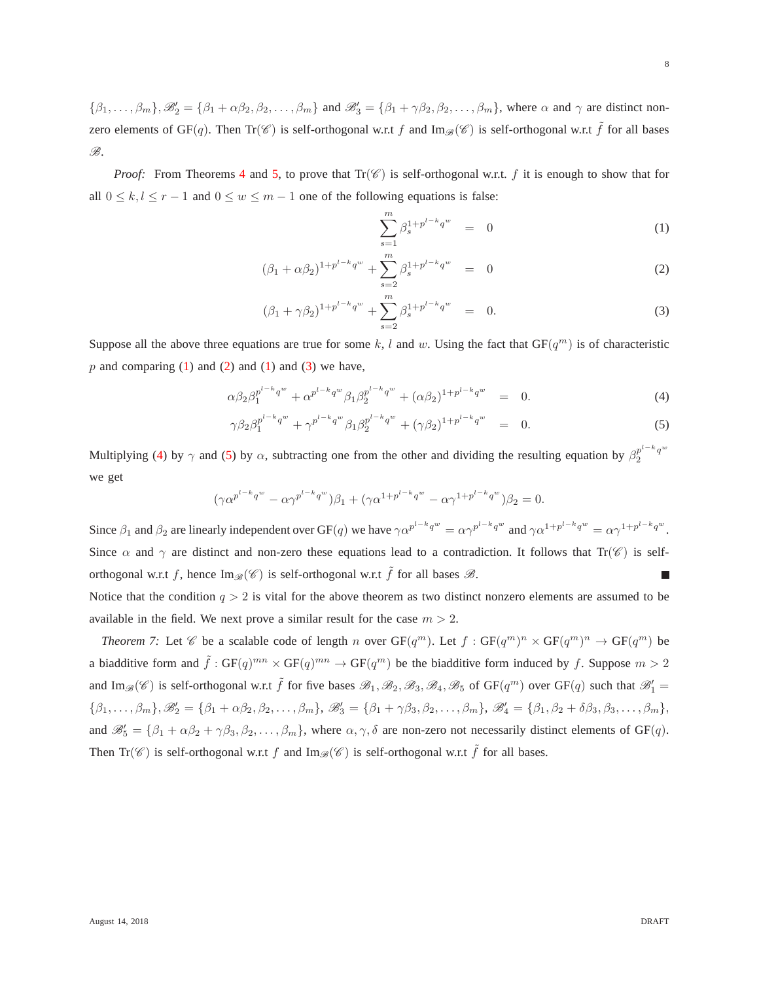$\{\beta_1,\ldots,\beta_m\},\mathscr{B}_2'=\{\beta_1+\alpha\beta_2,\beta_2,\ldots,\beta_m\}$  and  $\mathscr{B}_3'=\{\beta_1+\gamma\beta_2,\beta_2,\ldots,\beta_m\}$ , where  $\alpha$  and  $\gamma$  are distinct nonzero elements of GF(q). Then  $Tr(\mathcal{C})$  is self-orthogonal w.r.t f and Im $_{\mathcal{B}}(\mathcal{C})$  is self-orthogonal w.r.t  $\tilde{f}$  for all bases B.

*Proof:* From Theorems [4](#page-5-1) and [5,](#page-7-0) to prove that  $Tr(\mathscr{C})$  is self-orthogonal w.r.t. f it is enough to show that for all  $0 \le k, l \le r - 1$  and  $0 \le w \le m - 1$  one of the following equations is false:

<span id="page-8-0"></span>
$$
\sum_{s=1}^{m} \beta_s^{1+p^{l-k}q^w} = 0 \tag{1}
$$

$$
(\beta_1 + \alpha \beta_2)^{1 + p^{l-k} q^w} + \sum_{s=2}^m \beta_s^{1 + p^{l-k} q^w} = 0
$$
 (2)

$$
(\beta_1 + \gamma \beta_2)^{1 + p^{l-k} q^w} + \sum_{s=2}^m \beta_s^{1 + p^{l-k} q^w} = 0.
$$
 (3)

Suppose all the above three equations are true for some k, l and w. Using the fact that  $GF(q^m)$  is of characteristic  $p$  and comparing [\(1\)](#page-8-0) and [\(2\)](#page-8-0) and (1) and [\(3\)](#page-8-0) we have,

<span id="page-8-1"></span>
$$
\alpha \beta_2 \beta_1^{p^{l-k}q^w} + \alpha^{p^{l-k}q^w} \beta_1 \beta_2^{p^{l-k}q^w} + (\alpha \beta_2)^{1+p^{l-k}q^w} = 0.
$$
\n(4)

$$
\gamma \beta_2 \beta_1^{p^{l-k} q^w} + \gamma^{p^{l-k} q^w} \beta_1 \beta_2^{p^{l-k} q^w} + (\gamma \beta_2)^{1+p^{l-k} q^w} = 0.
$$
\n(5)

Multiplying [\(4\)](#page-8-1) by  $\gamma$  and [\(5\)](#page-8-1) by  $\alpha$ , subtracting one from the other and dividing the resulting equation by  $\beta_2^{p^{l-k}q^w}$ 2 we get

$$
(\gamma \alpha^{p^{l-k}q^w} - \alpha \gamma^{p^{l-k}q^w})\beta_1 + (\gamma \alpha^{1+p^{l-k}q^w} - \alpha \gamma^{1+p^{l-k}q^w})\beta_2 = 0.
$$

Since  $\beta_1$  and  $\beta_2$  are linearly independent over GF(q) we have  $\gamma \alpha^{p^{1-k}q^w} = \alpha \gamma^{p^{1-k}q^w}$  and  $\gamma \alpha^{1+p^{1-k}q^w} = \alpha \gamma^{1+p^{1-k}q^w}$ . Since  $\alpha$  and  $\gamma$  are distinct and non-zero these equations lead to a contradiction. It follows that Tr( $\mathscr{C}$ ) is selforthogonal w.r.t f, hence  $\text{Im}_{\mathscr{B}}(\mathscr{C})$  is self-orthogonal w.r.t  $\tilde{f}$  for all bases  $\mathscr{B}$ .

Notice that the condition  $q > 2$  is vital for the above theorem as two distinct nonzero elements are assumed to be available in the field. We next prove a similar result for the case  $m > 2$ .

*Theorem 7:* Let  $\mathscr C$  be a scalable code of length n over  $GF(q^m)$ . Let  $f: GF(q^m)^n \times GF(q^m)^n \to GF(q^m)$  be a biadditive form and  $\tilde{f}: GF(q)^{mn} \times GF(q)^{mn} \to GF(q^m)$  be the biadditive form induced by f. Suppose  $m > 2$ and Im<sub> $\mathcal{B}(\mathscr{C})$ </sub> is self-orthogonal w.r.t  $\tilde{f}$  for five bases  $\mathcal{B}_1, \mathcal{B}_2, \mathcal{B}_3, \mathcal{B}_4, \mathcal{B}_5$  of GF( $q^m$ ) over GF( $q$ ) such that  $\mathcal{B}'_1$  =  $\{\beta_1, \ldots, \beta_m\}, \mathscr{B}'_2 = \{\beta_1 + \alpha\beta_2, \beta_2, \ldots, \beta_m\}, \mathscr{B}'_3 = \{\beta_1 + \gamma\beta_3, \beta_2, \ldots, \beta_m\}, \mathscr{B}'_4 = \{\beta_1, \beta_2 + \delta\beta_3, \beta_3, \ldots, \beta_m\},\$ and  $\mathscr{B}'_5 = {\beta_1 + \alpha \beta_2 + \gamma \beta_3, \beta_2, \ldots, \beta_m}$ , where  $\alpha, \gamma, \delta$  are non-zero not necessarily distinct elements of GF(q). Then  $Tr(\mathscr{C})$  is self-orthogonal w.r.t f and  $Im_{\mathscr{B}}(\mathscr{C})$  is self-orthogonal w.r.t f for all bases.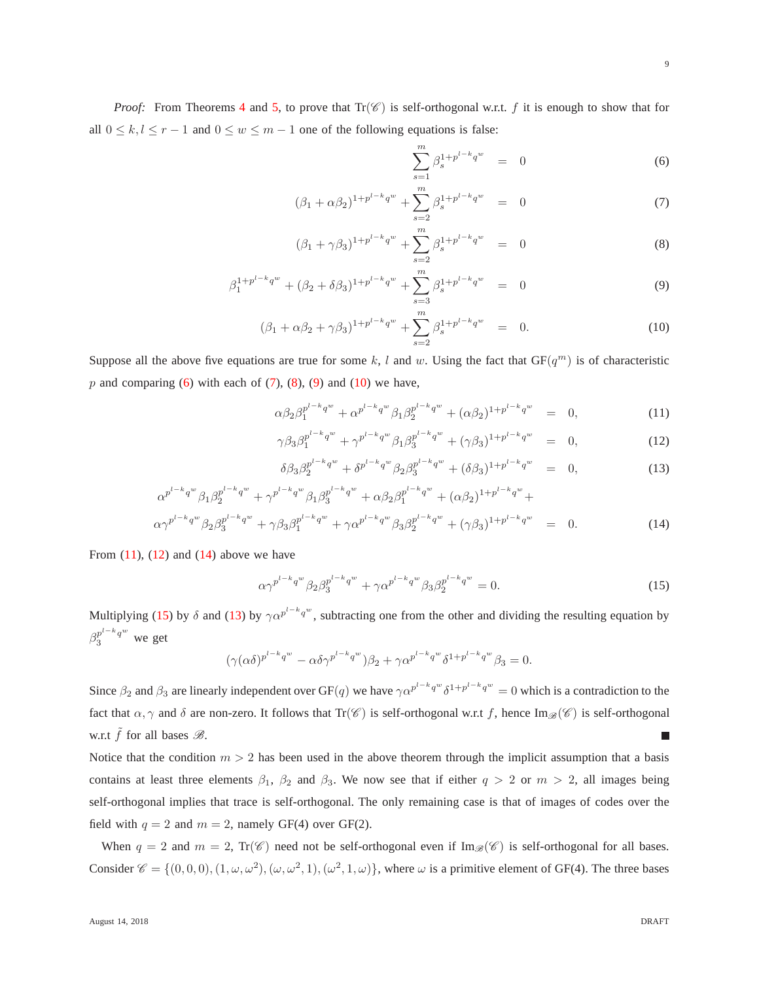*Proof:* From Theorems [4](#page-5-1) and [5,](#page-7-0) to prove that  $Tr(\mathscr{C})$  is self-orthogonal w.r.t. f it is enough to show that for all  $0 \le k, l \le r - 1$  and  $0 \le w \le m - 1$  one of the following equations is false:

<span id="page-9-0"></span>
$$
\sum_{s=1}^{m} \beta_s^{1+p^{l-k}q^w} = 0 \tag{6}
$$

$$
(\beta_1 + \alpha \beta_2)^{1 + p^{l-k} q^w} + \sum_{s=2}^m \beta_s^{1 + p^{l-k} q^w} = 0 \tag{7}
$$

$$
(\beta_1 + \gamma \beta_3)^{1 + p^{l-k} q^w} + \sum_{s=2}^m \beta_s^{1 + p^{l-k} q^w} = 0
$$
 (8)

$$
\beta_1^{1+p^{l-k}q^w} + (\beta_2 + \delta\beta_3)^{1+p^{l-k}q^w} + \sum_{s=3}^m \beta_s^{1+p^{l-k}q^w} = 0 \tag{9}
$$

$$
(\beta_1 + \alpha \beta_2 + \gamma \beta_3)^{1 + p^{l-k} q^w} + \sum_{s=2}^m \beta_s^{1 + p^{l-k} q^w} = 0.
$$
 (10)

Suppose all the above five equations are true for some k, l and w. Using the fact that  $GF(q^m)$  is of characteristic p and comparing  $(6)$  with each of  $(7)$ ,  $(8)$ ,  $(9)$  and  $(10)$  we have,

<span id="page-9-1"></span>
$$
\alpha \beta_2 \beta_1^{p^{l-k}q^w} + \alpha^{p^{l-k}q^w} \beta_1 \beta_2^{p^{l-k}q^w} + (\alpha \beta_2)^{1+p^{l-k}q^w} = 0, \qquad (11)
$$

$$
\gamma \beta_3 \beta_1^{p^{l-k}q^w} + \gamma^{p^{l-k}q^w} \beta_1 \beta_3^{p^{l-k}q^w} + (\gamma \beta_3)^{1+p^{l-k}q^w} = 0, \qquad (12)
$$

$$
\delta\beta_3 \beta_2^{p^{l-k}q^w} + \delta^{p^{l-k}q^w} \beta_2 \beta_3^{p^{l-k}q^w} + (\delta\beta_3)^{1+p^{l-k}q^w} = 0, \qquad (13)
$$

$$
\alpha^{p^{l-k}q^{w}}\beta_{1}\beta_{2}^{p^{l-k}q^{w}} + \gamma^{p^{l-k}q^{w}}\beta_{1}\beta_{3}^{p^{l-k}q^{w}} + \alpha\beta_{2}\beta_{1}^{p^{l-k}q^{w}} + (\alpha\beta_{2})^{1+p^{l-k}q^{w}} + \alpha\gamma^{p^{l-k}q^{w}}\beta_{2}\beta_{3}^{p^{l-k}q^{w}} + \gamma\beta_{3}\beta_{1}^{p^{l-k}q^{w}} + \gamma\alpha^{p^{l-k}q^{w}}\beta_{3}\beta_{2}^{p^{l-k}q^{w}} + (\gamma\beta_{3})^{1+p^{l-k}q^{w}} = 0.
$$
\n(14)

From  $(11)$ ,  $(12)$  and  $(14)$  above we have

<span id="page-9-2"></span>
$$
\alpha \gamma^{p^{l-k}q^w} \beta_2 \beta_3^{p^{l-k}q^w} + \gamma \alpha^{p^{l-k}q^w} \beta_3 \beta_2^{p^{l-k}q^w} = 0. \tag{15}
$$

Multiplying [\(15\)](#page-9-2) by  $\delta$  and [\(13\)](#page-9-1) by  $\gamma \alpha^{p^{1-k}q^w}$ , subtracting one from the other and dividing the resulting equation by  $\beta_3^{p^{l-k}q^w}$  we get

$$
(\gamma(\alpha\delta)^{p^{l-k}q^w} - \alpha\delta\gamma^{p^{l-k}q^w})\beta_2 + \gamma\alpha^{p^{l-k}q^w}\delta^{1+p^{l-k}q^w}\beta_3 = 0.
$$

Since  $\beta_2$  and  $\beta_3$  are linearly independent over GF(q) we have  $\gamma \alpha^{p^{l-k}q^w} \delta^{1+p^{l-k}q^w} = 0$  which is a contradiction to the fact that  $\alpha, \gamma$  and  $\delta$  are non-zero. It follows that Tr(C) is self-orthogonal w.r.t f, hence Im<sub>A</sub>(C) is self-orthogonal w.r.t  $\tilde{f}$  for all bases  $\mathcal{B}$ .

Notice that the condition  $m > 2$  has been used in the above theorem through the implicit assumption that a basis contains at least three elements  $\beta_1$ ,  $\beta_2$  and  $\beta_3$ . We now see that if either  $q > 2$  or  $m > 2$ , all images being self-orthogonal implies that trace is self-orthogonal. The only remaining case is that of images of codes over the field with  $q = 2$  and  $m = 2$ , namely GF(4) over GF(2).

When  $q = 2$  and  $m = 2$ , Tr( $\mathscr{C}$ ) need not be self-orthogonal even if Im<sub>B</sub>( $\mathscr{C}$ ) is self-orthogonal for all bases. Consider  $\mathscr{C} = \{(0,0,0), (1,\omega,\omega^2), (\omega,\omega^2,1), (\omega^2,1,\omega)\}\,$ , where  $\omega$  is a primitive element of GF(4). The three bases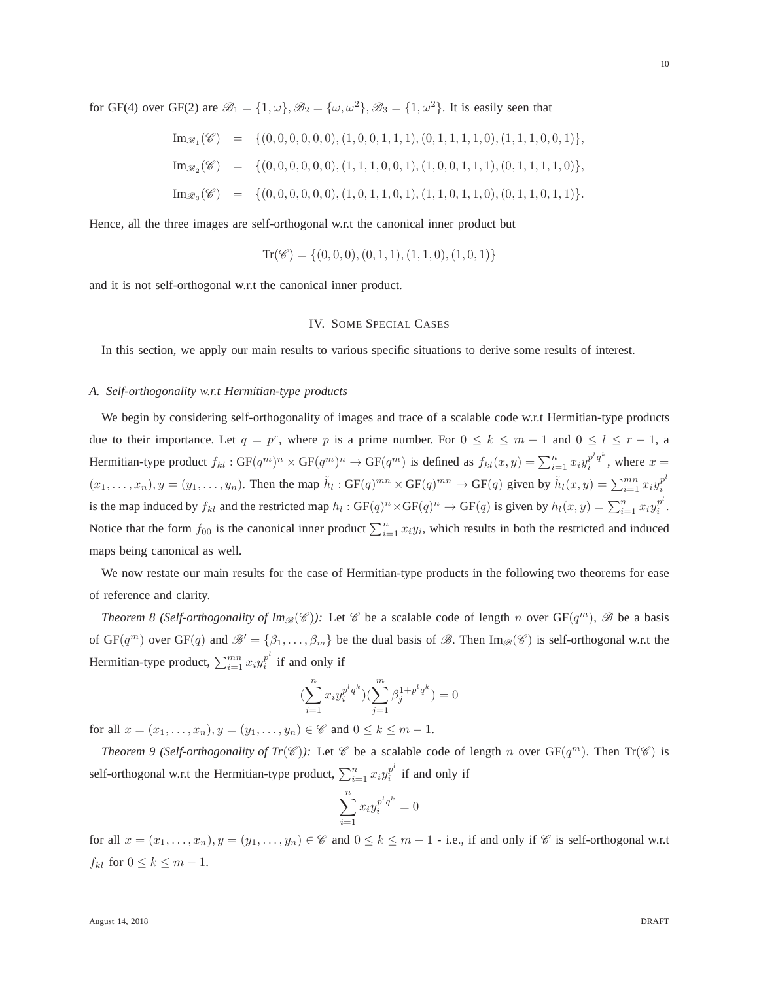for GF(4) over GF(2) are  $\mathcal{B}_1 = \{1, \omega\}, \mathcal{B}_2 = \{\omega, \omega^2\}, \mathcal{B}_3 = \{1, \omega^2\}.$  It is easily seen that

Im<sup>B</sup><sup>1</sup> (C ) = {(0, 0, 0, 0, 0, 0),(1, 0, 0, 1, 1, 1),(0, 1, 1, 1, 1, 0),(1, 1, 1, 0, 0, 1)}, Im<sup>B</sup><sup>2</sup> (C ) = {(0, 0, 0, 0, 0, 0),(1, 1, 1, 0, 0, 1),(1, 0, 0, 1, 1, 1),(0, 1, 1, 1, 1, 0)}, Im<sup>B</sup><sup>3</sup> (C ) = {(0, 0, 0, 0, 0, 0),(1, 0, 1, 1, 0, 1),(1, 1, 0, 1, 1, 0),(0, 1, 1, 0, 1, 1)}.

Hence, all the three images are self-orthogonal w.r.t the canonical inner product but

$$
Tr(\mathscr{C}) = \{(0,0,0), (0,1,1), (1,1,0), (1,0,1)\}
$$

<span id="page-10-2"></span>and it is not self-orthogonal w.r.t the canonical inner product.

## IV. SOME SPECIAL CASES

In this section, we apply our main results to various specific situations to derive some results of interest.

#### *A. Self-orthogonality w.r.t Hermitian-type products*

We begin by considering self-orthogonality of images and trace of a scalable code w.r.t Hermitian-type products due to their importance. Let  $q = p^r$ , where p is a prime number. For  $0 \le k \le m - 1$  and  $0 \le l \le r - 1$ , a Hermitian-type product  $f_{kl}$ :  $GF(q^m)^n \times GF(q^m)^n \to GF(q^m)$  is defined as  $f_{kl}(x, y) = \sum_{i=1}^n x_i y_i^{p^l q^k}$  $i^{p \ q}$ , where  $x =$  $(x_1, \ldots, x_n), y = (y_1, \ldots, y_n)$ . Then the map  $\tilde{h}_l : GF(q)^{mn} \times GF(q)^{mn} \rightarrow GF(q)$  given by  $\tilde{h}_l(x, y) = \sum_{i=1}^{mn} x_i y_i^{p^l}$ i is the map induced by  $f_{kl}$  and the restricted map  $h_l : GF(q)^n \times GF(q)^n \to GF(q)$  is given by  $h_l(x, y) = \sum_{i=1}^n x_i y_i^{p^l}$  $\frac{p}{i}$  . Notice that the form  $f_{00}$  is the canonical inner product  $\sum_{i=1}^{n} x_i y_i$ , which results in both the restricted and induced maps being canonical as well.

<span id="page-10-0"></span>We now restate our main results for the case of Hermitian-type products in the following two theorems for ease of reference and clarity.

*Theorem 8 (Self-orthogonality of Im* $\mathscr{B}(\mathscr{C})$ ): Let  $\mathscr{C}$  be a scalable code of length n over  $GF(q^m)$ ,  $\mathscr{B}$  be a basis of  $GF(q^m)$  over  $GF(q)$  and  $\mathscr{B}' = {\beta_1, \ldots, \beta_m}$  be the dual basis of  $\mathscr{B}$ . Then  $Im_{\mathscr{B}}(\mathscr{C})$  is self-orthogonal w.r.t the Hermitian-type product,  $\sum_{i=1}^{mn} x_i y_i^{p^l}$  $i$ <sup>p</sup> if and only if

$$
(\sum_{i=1}^{n} x_i y_i^{p^l q^k})(\sum_{j=1}^{m} \beta_j^{1+p^l q^k}) = 0
$$

<span id="page-10-1"></span>for all  $x = (x_1, ..., x_n), y = (y_1, ..., y_n) \in \mathscr{C}$  and  $0 \le k \le m - 1$ .

*Theorem 9 (Self-orthogonality of Tr(C)):* Let  $\mathscr C$  be a scalable code of length n over  $GF(q^m)$ . Then  $Tr(\mathscr C)$  is self-orthogonal w.r.t the Hermitian-type product,  $\sum_{i=1}^{n} x_i y_i^{p^i}$  $i$ <sup>p</sup> if and only if

$$
\sum_{i=1}^{n} x_i y_i^{p^l q^k} = 0
$$

for all  $x = (x_1, \ldots, x_n), y = (y_1, \ldots, y_n) \in \mathscr{C}$  and  $0 \le k \le m - 1$  - i.e., if and only if  $\mathscr{C}$  is self-orthogonal w.r.t  $f_{kl}$  for  $0 \leq k \leq m-1$ .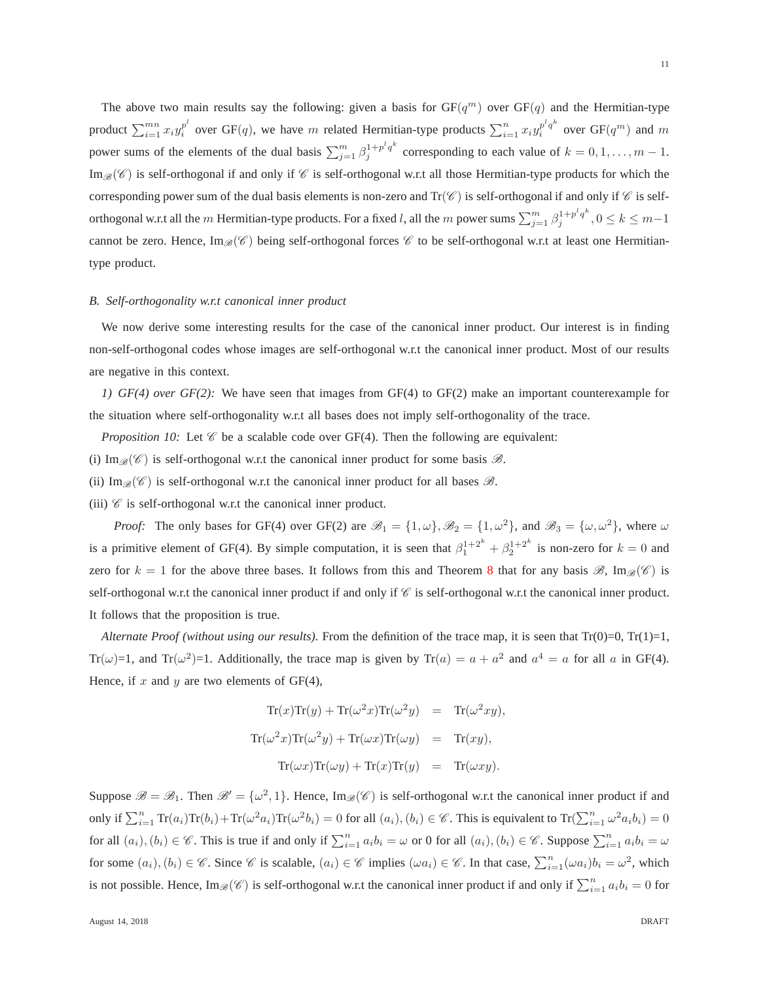The above two main results say the following: given a basis for  $GF(q^m)$  over  $GF(q)$  and the Hermitian-type product  $\sum_{i=1}^{mn} x_i y_i^{p^l}$  $i^{p^l}$  over GF(q), we have m related Hermitian-type products  $\sum_{i=1}^n x_i y_i^{p^l q^{k}}$  $i^{p^iq^n}$  over  $GF(q^m)$  and m power sums of the elements of the dual basis  $\sum_{j=1}^{m} \beta_j^{1+p^l q^k}$  $j_j^{1+p'q^*}$  corresponding to each value of  $k = 0, 1, \ldots, m-1$ .  $\text{Im}_{\mathscr{B}}(\mathscr{C})$  is self-orthogonal if and only if  $\mathscr{C}$  is self-orthogonal w.r.t all those Hermitian-type products for which the corresponding power sum of the dual basis elements is non-zero and  $Tr(\mathscr{C})$  is self-orthogonal if and only if  $\mathscr{C}$  is selforthogonal w.r.t all the  $m$  Hermitian-type products. For a fixed l, all the  $m$  power sums  $\sum_{j=1}^m \beta_j^{1+p^l q^k}$  $j^{1+p/q}$ ,  $0 \leq k \leq m-1$ cannot be zero. Hence,  $\text{Im}_{\mathscr{B}}(\mathscr{C})$  being self-orthogonal forces  $\mathscr{C}$  to be self-orthogonal w.r.t at least one Hermitiantype product.

## *B. Self-orthogonality w.r.t canonical inner product*

We now derive some interesting results for the case of the canonical inner product. Our interest is in finding non-self-orthogonal codes whose images are self-orthogonal w.r.t the canonical inner product. Most of our results are negative in this context.

*1) GF(4) over GF(2):* We have seen that images from GF(4) to GF(2) make an important counterexample for the situation where self-orthogonality w.r.t all bases does not imply self-orthogonality of the trace.

- *Proposition 10:* Let  $\mathcal C$  be a scalable code over GF(4). Then the following are equivalent:
- (i) Im $\mathcal{B}(\mathscr{C})$  is self-orthogonal w.r.t the canonical inner product for some basis  $\mathcal{B}$ .

(ii) Im $\mathcal{B}(\mathscr{C})$  is self-orthogonal w.r.t the canonical inner product for all bases  $\mathscr{B}$ .

(iii)  $\mathscr C$  is self-orthogonal w.r.t the canonical inner product.

*Proof:* The only bases for GF(4) over GF(2) are  $\mathcal{B}_1 = \{1, \omega\}$ ,  $\mathcal{B}_2 = \{1, \omega^2\}$ , and  $\mathcal{B}_3 = \{\omega, \omega^2\}$ , where  $\omega$ is a primitive element of GF(4). By simple computation, it is seen that  $\beta_1^{1+2^k} + \beta_2^{1+2^k}$  is non-zero for  $k = 0$  and zero for  $k = 1$  for the above three bases. It follows from this and Theorem [8](#page-10-0) that for any basis  $\mathscr{B}$ , Im $_{\mathscr{B}}(\mathscr{C})$  is self-orthogonal w.r.t the canonical inner product if and only if  $\mathscr C$  is self-orthogonal w.r.t the canonical inner product. It follows that the proposition is true.

*Alternate Proof (without using our results)*. From the definition of the trace map, it is seen that Tr(0)=0, Tr(1)=1, Tr( $\omega$ )=1, and Tr( $\omega^2$ )=1. Additionally, the trace map is given by Tr( $a$ ) =  $a + a^2$  and  $a^4 = a$  for all a in GF(4). Hence, if  $x$  and  $y$  are two elements of GF(4),

<span id="page-11-0"></span>
$$
\text{Tr}(x)\text{Tr}(y) + \text{Tr}(\omega^2 x)\text{Tr}(\omega^2 y) = \text{Tr}(\omega^2 xy),
$$
  

$$
\text{Tr}(\omega^2 x)\text{Tr}(\omega^2 y) + \text{Tr}(\omega x)\text{Tr}(\omega y) = \text{Tr}(xy),
$$
  

$$
\text{Tr}(\omega x)\text{Tr}(\omega y) + \text{Tr}(x)\text{Tr}(y) = \text{Tr}(\omega xy).
$$

Suppose  $\mathscr{B} = \mathscr{B}_1$ . Then  $\mathscr{B}' = {\omega^2, 1}$ . Hence, Im $\mathscr{B}(\mathscr{C})$  is self-orthogonal w.r.t the canonical inner product if and only if  $\sum_{i=1}^{n} \text{Tr}(a_i) \text{Tr}(b_i) + \text{Tr}(\omega^2 a_i) \text{Tr}(\omega^2 b_i) = 0$  for all  $(a_i), (b_i) \in \mathscr{C}$ . This is equivalent to  $\text{Tr}(\sum_{i=1}^{n} \omega^2 a_i b_i) = 0$ for all  $(a_i)$ ,  $(b_i) \in \mathscr{C}$ . This is true if and only if  $\sum_{i=1}^n a_i b_i = \omega$  or 0 for all  $(a_i)$ ,  $(b_i) \in \mathscr{C}$ . Suppose  $\sum_{i=1}^n a_i b_i = \omega$ for some  $(a_i)$ ,  $(b_i) \in \mathscr{C}$ . Since  $\mathscr{C}$  is scalable,  $(a_i) \in \mathscr{C}$  implies  $(\omega a_i) \in \mathscr{C}$ . In that case,  $\sum_{i=1}^n (\omega a_i) b_i = \omega^2$ , which is not possible. Hence,  $\text{Im}_{\mathscr{B}}(\mathscr{C})$  is self-orthogonal w.r.t the canonical inner product if and only if  $\sum_{i=1}^n a_i b_i = 0$  for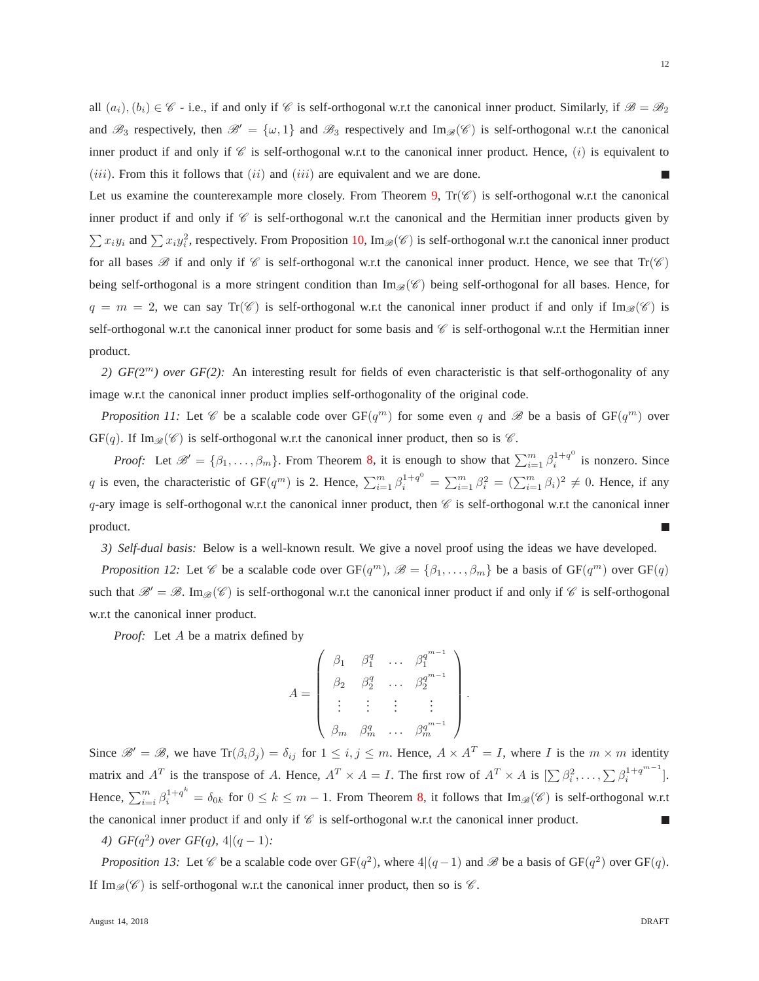all  $(a_i), (b_i) \in \mathscr{C}$  - i.e., if and only if  $\mathscr{C}$  is self-orthogonal w.r.t the canonical inner product. Similarly, if  $\mathscr{B} = \mathscr{B}_2$ and  $\mathscr{B}_3$  respectively, then  $\mathscr{B}' = {\omega, 1}$  and  $\mathscr{B}_3$  respectively and Im $_{\mathscr{B}}(\mathscr{C})$  is self-orthogonal w.r.t the canonical inner product if and only if  $\mathscr C$  is self-orthogonal w.r.t to the canonical inner product. Hence, (i) is equivalent to  $(iii)$ . From this it follows that  $(ii)$  and  $(iii)$  are equivalent and we are done. П

Let us examine the counterexample more closely. From Theorem [9,](#page-10-1)  $Tr(\mathscr{C})$  is self-orthogonal w.r.t the canonical inner product if and only if  $C$  is self-orthogonal w.r.t the canonical and the Hermitian inner products given by  $\sum x_i y_i$  and  $\sum x_i y_i^2$ , respectively. From Proposition [10,](#page-11-0) Im<sub> $\mathcal{B}(\mathscr{C})$ </sub> is self-orthogonal w.r.t the canonical inner product for all bases  $\mathscr B$  if and only if  $\mathscr C$  is self-orthogonal w.r.t the canonical inner product. Hence, we see that  $Tr(\mathscr C)$ being self-orthogonal is a more stringent condition than  $\text{Im}_{\mathscr{B}}(\mathscr{C})$  being self-orthogonal for all bases. Hence, for  $q = m = 2$ , we can say  $Tr(\mathcal{C})$  is self-orthogonal w.r.t the canonical inner product if and only if  $Im_{\mathscr{B}}(\mathcal{C})$  is self-orthogonal w.r.t the canonical inner product for some basis and  $\mathscr C$  is self-orthogonal w.r.t the Hermitian inner product.

2)  $GF(2<sup>m</sup>)$  over  $GF(2)$ : An interesting result for fields of even characteristic is that self-orthogonality of any image w.r.t the canonical inner product implies self-orthogonality of the original code.

*Proposition 11:* Let  $\mathscr C$  be a scalable code over  $GF(q^m)$  for some even q and  $\mathscr B$  be a basis of  $GF(q^m)$  over  $GF(q)$ . If Im<sub> $\mathcal{B}(\mathscr{C})$ </sub> is self-orthogonal w.r.t the canonical inner product, then so is  $\mathscr{C}$ .

*Proof:* Let  $\mathcal{B}' = \{\beta_1, \ldots, \beta_m\}$ . From Theorem [8,](#page-10-0) it is enough to show that  $\sum_{i=1}^m \beta_i^{1+q^0}$  $i^{1+q}$  is nonzero. Since q is even, the characteristic of GF(q<sup>m</sup>) is 2. Hence,  $\sum_{i=1}^{m} \beta_i^{1+q^0} = \sum_{i=1}^{m} \beta_i^2 = (\sum_{i=1}^{m} \beta_i)^2 \neq 0$ . Hence, if any q-ary image is self-orthogonal w.r.t the canonical inner product, then  $\mathcal C$  is self-orthogonal w.r.t the canonical inner product. г

*3) Self-dual basis:* Below is a well-known result. We give a novel proof using the ideas we have developed.

*Proposition 12:* Let  $\mathscr C$  be a scalable code over  $GF(q^m)$ ,  $\mathscr B = {\beta_1, \ldots, \beta_m}$  be a basis of  $GF(q^m)$  over  $GF(q)$ such that  $\mathscr{B}' = \mathscr{B}$ . Im $\mathscr{B}(\mathscr{C})$  is self-orthogonal w.r.t the canonical inner product if and only if  $\mathscr{C}$  is self-orthogonal w.r.t the canonical inner product.

*Proof:* Let A be a matrix defined by

$$
A = \begin{pmatrix} \beta_1 & \beta_1^q & \dots & \beta_1^{q^{m-1}} \\ \beta_2 & \beta_2^q & \dots & \beta_2^{q^{m-1}} \\ \vdots & \vdots & \vdots & \vdots \\ \beta_m & \beta_m^q & \dots & \beta_m^{q^{m-1}} \end{pmatrix}.
$$

Since  $\mathcal{B}' = \mathcal{B}$ , we have  $\text{Tr}(\beta_i \beta_j) = \delta_{ij}$  for  $1 \leq i, j \leq m$ . Hence,  $A \times A^T = I$ , where I is the  $m \times m$  identity matrix and  $A^T$  is the transpose of A. Hence,  $A^T \times A = I$ . The first row of  $A^T \times A$  is  $[\sum \beta_i^2, \dots, \sum \beta_i^{1+q^{m-1}}]$ . Hence,  $\sum_{i=i}^{m} \beta_i^{1+q^k} = \delta_{0k}$  for  $0 \le k \le m-1$ . From Theorem [8,](#page-10-0) it follows that  $\text{Im}_{\mathscr{B}}(\mathscr{C})$  is self-orthogonal w.r.t the canonical inner product if and only if  $\mathscr C$  is self-orthogonal w.r.t the canonical inner product.

*4*) *GF*( $q^2$ ) *over GF*( $q$ ),  $4|(q-1)$ *:* 

*Proposition 13:* Let  $\mathscr C$  be a scalable code over GF(q<sup>2</sup>), where  $4|(q-1)$  and  $\mathscr B$  be a basis of GF(q<sup>2</sup>) over GF(q). If Im $\mathcal{B}(\mathscr{C})$  is self-orthogonal w.r.t the canonical inner product, then so is  $\mathscr{C}$ .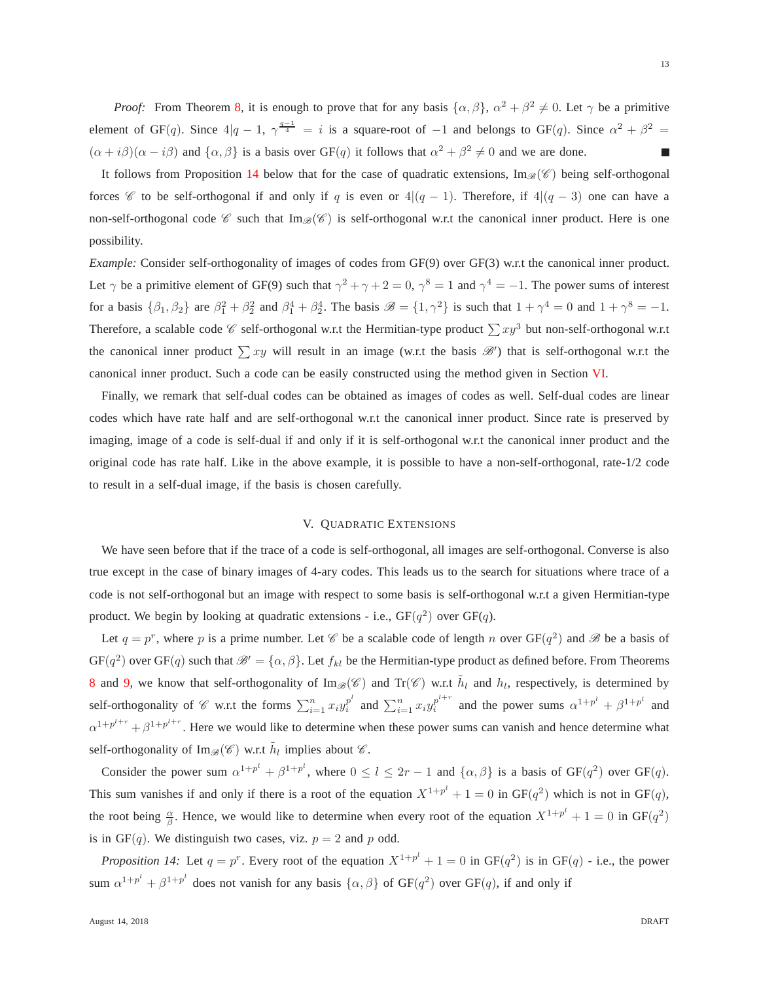*Proof:* From Theorem [8,](#page-10-0) it is enough to prove that for any basis  $\{\alpha, \beta\}$ ,  $\alpha^2 + \beta^2 \neq 0$ . Let  $\gamma$  be a primitive element of GF(q). Since  $4|q-1$ ,  $\gamma^{\frac{q-1}{4}} = i$  is a square-root of  $-1$  and belongs to GF(q). Since  $\alpha^2 + \beta^2 =$  $(\alpha + i\beta)(\alpha - i\beta)$  and  $\{\alpha, \beta\}$  is a basis over GF(q) it follows that  $\alpha^2 + \beta^2 \neq 0$  and we are done. г

It follows from Proposition [14](#page-13-1) below that for the case of quadratic extensions,  $\text{Im}_{\mathscr{B}}(\mathscr{C})$  being self-orthogonal forces  $\mathscr C$  to be self-orthogonal if and only if q is even or  $4|(q-1)$ . Therefore, if  $4|(q-3)$  one can have a non-self-orthogonal code  $\mathscr C$  such that  $\text{Im}_{\mathscr B}(\mathscr C)$  is self-orthogonal w.r.t the canonical inner product. Here is one possibility.

*Example:* Consider self-orthogonality of images of codes from GF(9) over GF(3) w.r.t the canonical inner product. Let  $\gamma$  be a primitive element of GF(9) such that  $\gamma^2 + \gamma + 2 = 0$ ,  $\gamma^8 = 1$  and  $\gamma^4 = -1$ . The power sums of interest for a basis  $\{\beta_1, \beta_2\}$  are  $\beta_1^2 + \beta_2^2$  and  $\beta_1^4 + \beta_2^4$ . The basis  $\mathscr{B} = \{1, \gamma^2\}$  is such that  $1 + \gamma^4 = 0$  and  $1 + \gamma^8 = -1$ . Therefore, a scalable code  $\mathscr C$  self-orthogonal w.r.t the Hermitian-type product  $\sum xy^3$  but non-self-orthogonal w.r.t the canonical inner product  $\sum xy$  will result in an image (w.r.t the basis  $\mathcal{B}'$ ) that is self-orthogonal w.r.t the canonical inner product. Such a code can be easily constructed using the method given in Section [VI.](#page-15-0)

Finally, we remark that self-dual codes can be obtained as images of codes as well. Self-dual codes are linear codes which have rate half and are self-orthogonal w.r.t the canonical inner product. Since rate is preserved by imaging, image of a code is self-dual if and only if it is self-orthogonal w.r.t the canonical inner product and the original code has rate half. Like in the above example, it is possible to have a non-self-orthogonal, rate-1/2 code to result in a self-dual image, if the basis is chosen carefully.

# V. QUADRATIC EXTENSIONS

<span id="page-13-0"></span>We have seen before that if the trace of a code is self-orthogonal, all images are self-orthogonal. Converse is also true except in the case of binary images of 4-ary codes. This leads us to the search for situations where trace of a code is not self-orthogonal but an image with respect to some basis is self-orthogonal w.r.t a given Hermitian-type product. We begin by looking at quadratic extensions - i.e.,  $GF(q^2)$  over  $GF(q)$ .

Let  $q = p^r$ , where p is a prime number. Let  $\mathscr C$  be a scalable code of length n over  $GF(q^2)$  and  $\mathscr B$  be a basis of  $GF(q^2)$  over  $GF(q)$  such that  $\mathscr{B}' = {\alpha, \beta}.$  Let  $f_{kl}$  be the Hermitian-type product as defined before. From Theorems [8](#page-10-0) and [9,](#page-10-1) we know that self-orthogonality of Im<sub> $\mathcal{B}(\mathscr{C})$ </sub> and Tr( $\mathscr{C}$ ) w.r.t  $\tilde{h}_l$  and  $h_l$ , respectively, is determined by self-orthogonality of  $\mathscr C$  w.r.t the forms  $\sum_{i=1}^n x_i y_i^{p^l}$  $i^{p^l}$  and  $\sum_{i=1}^n x_i y_i^{p^{l+r}}$  $e_i^{p^{t+r}}$  and the power sums  $\alpha^{1+p^l} + \beta^{1+p^l}$  and  $\alpha^{1+p^{l+r}} + \beta^{1+p^{l+r}}$ . Here we would like to determine when these power sums can vanish and hence determine what self-orthogonality of Im $_{\mathscr{B}}(\mathscr{C})$  w.r.t  $\tilde{h}_l$  implies about  $\mathscr{C}.$ 

Consider the power sum  $\alpha^{1+p^l} + \beta^{1+p^l}$ , where  $0 \le l \le 2r-1$  and  $\{\alpha, \beta\}$  is a basis of  $GF(q^2)$  over  $GF(q)$ . This sum vanishes if and only if there is a root of the equation  $X^{1+p^l} + 1 = 0$  in  $GF(q^2)$  which is not in  $GF(q)$ , the root being  $\frac{\alpha}{\beta}$ . Hence, we would like to determine when every root of the equation  $X^{1+p^l} + 1 = 0$  in GF(q<sup>2</sup>) is in  $GF(q)$ . We distinguish two cases, viz.  $p = 2$  and p odd.

<span id="page-13-1"></span>*Proposition 14:* Let  $q = p^r$ . Every root of the equation  $X^{1+p^l} + 1 = 0$  in  $GF(q^2)$  is in  $GF(q)$  - i.e., the power sum  $\alpha^{1+p^l} + \beta^{1+p^l}$  does not vanish for any basis  $\{\alpha, \beta\}$  of GF(q<sup>2</sup>) over GF(q), if and only if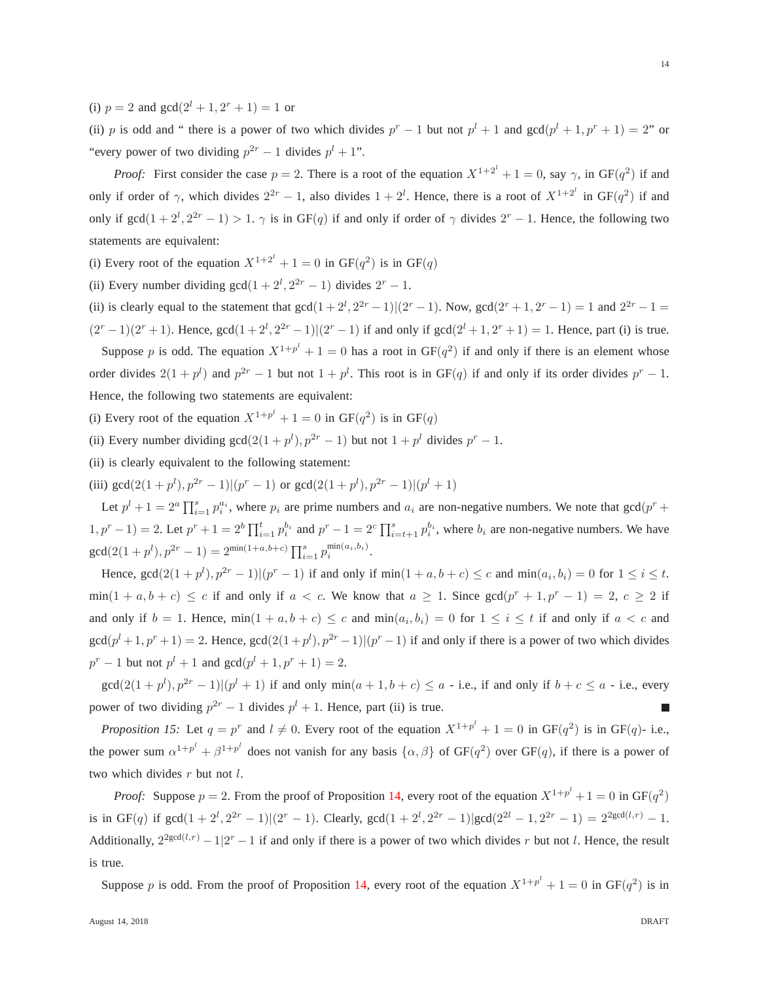(i)  $p = 2$  and  $gcd(2^l + 1, 2^r + 1) = 1$  or

(ii) p is odd and " there is a power of two which divides  $p^{r} - 1$  but not  $p^{l} + 1$  and  $gcd(p^{l} + 1, p^{r} + 1) = 2$ " or "every power of two dividing  $p^{2r} - 1$  divides  $p^{l} + 1$ ".

*Proof:* First consider the case  $p = 2$ . There is a root of the equation  $X^{1+2^l} + 1 = 0$ , say  $\gamma$ , in  $GF(q^2)$  if and only if order of  $\gamma$ , which divides  $2^{2r} - 1$ , also divides  $1 + 2^l$ . Hence, there is a root of  $X^{1+2^l}$  in  $GF(q^2)$  if and only if  $gcd(1+2^l, 2^{2r}-1) > 1$ .  $\gamma$  is in GF(q) if and only if order of  $\gamma$  divides  $2^r - 1$ . Hence, the following two statements are equivalent:

(i) Every root of the equation  $X^{1+2^l} + 1 = 0$  in  $GF(q^2)$  is in  $GF(q)$ 

(ii) Every number dividing  $gcd(1 + 2^l, 2^{2r} - 1)$  divides  $2^r - 1$ .

(ii) is clearly equal to the statement that  $gcd(1 + 2^l, 2^{2r} - 1)(2^r - 1)$ . Now,  $gcd(2^r + 1, 2^r - 1) = 1$  and  $2^{2r} - 1 =$  $(2^{r}-1)(2^{r}+1)$ . Hence,  $gcd(1+2^{l}, 2^{2r}-1)(2^{r}-1)$  if and only if  $gcd(2^{l}+1, 2^{r}+1)=1$ . Hence, part (i) is true.

Suppose p is odd. The equation  $X^{1+p^l} + 1 = 0$  has a root in  $GF(q^2)$  if and only if there is an element whose order divides  $2(1+p^l)$  and  $p^{2r}-1$  but not  $1+p^l$ . This root is in GF(q) if and only if its order divides  $p^r-1$ . Hence, the following two statements are equivalent:

- (i) Every root of the equation  $X^{1+p^l} + 1 = 0$  in  $GF(q^2)$  is in  $GF(q)$
- (ii) Every number dividing  $gcd(2(1 + p^{l}), p^{2r} 1)$  but not  $1 + p^{l}$  divides  $p^{r} 1$ .
- (ii) is clearly equivalent to the following statement:

(iii)  $gcd(2(1+p^l), p^{2r}-1) | (p^r-1)$  or  $gcd(2(1+p^l), p^{2r}-1) | (p^l+1)$ 

Let  $p^l + 1 = 2^a \prod_{i=1}^s p_i^{a_i}$ , where  $p_i$  are prime numbers and  $a_i$  are non-negative numbers. We note that  $gcd(p^r + 1)$  $(1, p^r - 1) = 2$ . Let  $p^r + 1 = 2^b \prod_{i=1}^t p_i^{b_i}$  and  $p^r - 1 = 2^c \prod_{i=t+1}^s p_i^{b_i}$ , where  $b_i$  are non-negative numbers. We have  $\gcd(2(1+p^l), p^{2r}-1) = 2^{\min(1+a,b+c)} \prod_{i=1}^s p_i^{\min(a_i,b_i)}.$ 

Hence,  $gcd(2(1 + p^l), p^{2r} - 1) | (p^r - 1)$  if and only if  $min(1 + a, b + c) \le c$  and  $min(a_i, b_i) = 0$  for  $1 \le i \le t$ .  $\min(1 + a, b + c) \leq c$  if and only if  $a < c$ . We know that  $a \geq 1$ . Since  $\gcd(p^r + 1, p^r - 1) = 2$ ,  $c \geq 2$  if and only if  $b = 1$ . Hence,  $\min(1 + a, b + c) \le c$  and  $\min(a_i, b_i) = 0$  for  $1 \le i \le t$  if and only if  $a < c$  and  $gcd(p^l+1, p^r+1) = 2$ . Hence,  $gcd(2(1+p^l), p^{2r}-1)$   $|(p^r-1)$  if and only if there is a power of two which divides  $p^{r} - 1$  but not  $p^{l} + 1$  and  $gcd(p^{l} + 1, p^{r} + 1) = 2$ .

<span id="page-14-0"></span> $gcd(2(1+p^l), p^{2r}-1) | (p^l+1)$  if and only  $min(a+1,b+c) \le a$  - i.e., if and only if  $b+c \le a$  - i.e., every power of two dividing  $p^{2r} - 1$  divides  $p^{l} + 1$ . Hence, part (ii) is true. г

*Proposition 15:* Let  $q = p^r$  and  $l \neq 0$ . Every root of the equation  $X^{1+p^l} + 1 = 0$  in  $GF(q^2)$  is in  $GF(q)$ - i.e., the power sum  $\alpha^{1+p^l} + \beta^{1+p^l}$  does not vanish for any basis  $\{\alpha, \beta\}$  of GF( $q^2$ ) over GF(q), if there is a power of two which divides  $r$  but not  $l$ .

*Proof:* Suppose  $p = 2$ . From the proof of Proposition [14,](#page-13-1) every root of the equation  $X^{1+p^l} + 1 = 0$  in  $GF(q^2)$ is in GF(q) if  $gcd(1+2^l, 2^{2r}-1) | (2^r-1)$ . Clearly,  $gcd(1+2^l, 2^{2r}-1) | gcd(2^{2l}-1, 2^{2r}-1) = 2^{2gcd(l,r)}-1$ . Additionally,  $2^{2gcd(l,r)} - 1/2^r - 1$  if and only if there is a power of two which divides r but not l. Hence, the result is true.

Suppose p is odd. From the proof of Proposition [14,](#page-13-1) every root of the equation  $X^{1+p^l} + 1 = 0$  in  $GF(q^2)$  is in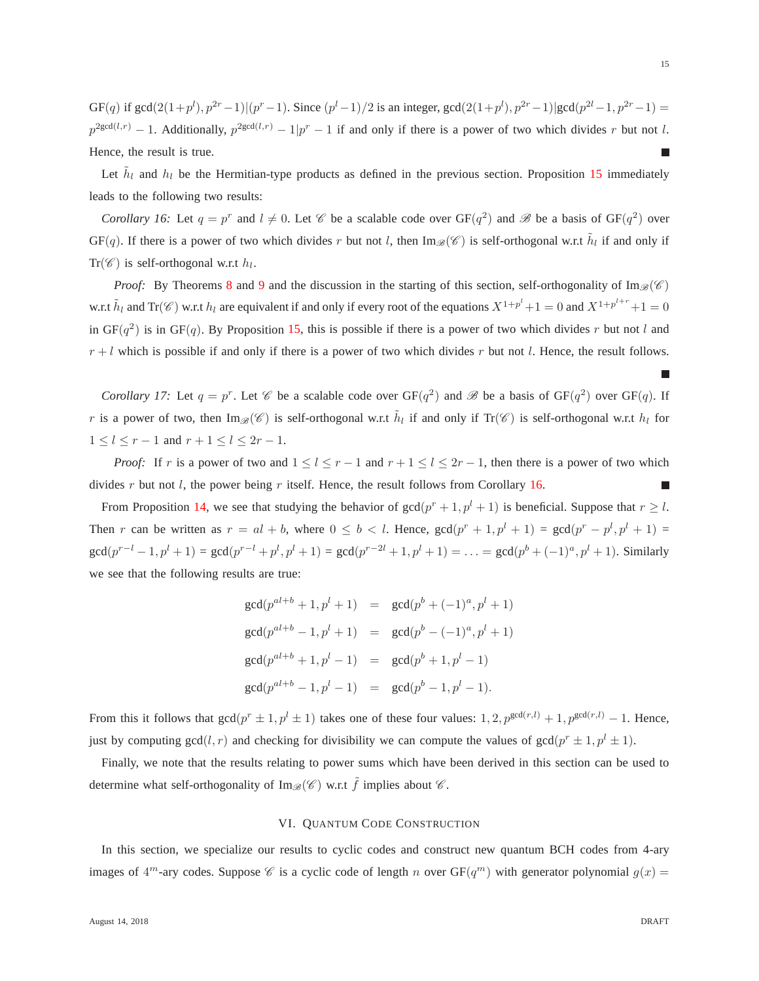$GF(q)$  if  $gcd(2(1+p^l), p^{2r}-1) | (p^r-1)$ . Since  $(p^l-1)/2$  is an integer,  $gcd(2(1+p^l), p^{2r}-1) | gcd(p^{2l}-1, p^{2r}-1)$  $p^{2gcd(l,r)}-1$ . Additionally,  $p^{2gcd(l,r)}-1$   $|p^r-1|$  if and only if there is a power of two which divides r but not l. Hence, the result is true. г

<span id="page-15-1"></span>Let  $\tilde{h}_l$  and  $h_l$  be the Hermitian-type products as defined in the previous section. Proposition [15](#page-14-0) immediately leads to the following two results:

*Corollary 16:* Let  $q = p^r$  and  $l \neq 0$ . Let  $\mathscr C$  be a scalable code over  $GF(q^2)$  and  $\mathscr B$  be a basis of  $GF(q^2)$  over GF(q). If there is a power of two which divides r but not l, then Im<sub> $\mathcal{B}(\mathscr{C})$ </sub> is self-orthogonal w.r.t  $\tilde{h}_l$  if and only if  $\text{Tr}(\mathscr{C})$  is self-orthogonal w.r.t  $h_l$ .

*Proof:* By Theorems [8](#page-10-0) and [9](#page-10-1) and the discussion in the starting of this section, self-orthogonality of Im<sub> $\mathcal{B}(\mathscr{C})$ </sub> w.r.t  $\tilde{h}_l$  and Tr( $\mathscr{C}$ ) w.r.t  $h_l$  are equivalent if and only if every root of the equations  $X^{1+p^l}+1=0$  and  $X^{1+p^{l+r}}+1=0$ in GF( $q^2$ ) is in GF(q). By Proposition [15,](#page-14-0) this is possible if there is a power of two which divides r but not l and  $r + l$  which is possible if and only if there is a power of two which divides r but not l. Hence, the result follows.

<span id="page-15-2"></span>*Corollary 17:* Let  $q = p^r$ . Let  $\mathscr C$  be a scalable code over  $GF(q^2)$  and  $\mathscr B$  be a basis of  $GF(q^2)$  over  $GF(q)$ . If r is a power of two, then  $\text{Im}_{\mathscr{B}}(\mathscr{C})$  is self-orthogonal w.r.t  $\tilde{h}_l$  if and only if  $\text{Tr}(\mathscr{C})$  is self-orthogonal w.r.t  $h_l$  for  $1 \le l \le r - 1$  and  $r + 1 \le l \le 2r - 1$ .

*Proof:* If r is a power of two and  $1 \le l \le r - 1$  and  $r + 1 \le l \le 2r - 1$ , then there is a power of two which divides  $r$  but not  $l$ , the power being  $r$  itself. Hence, the result follows from Corollary [16.](#page-15-1) г

From Proposition [14,](#page-13-1) we see that studying the behavior of  $gcd(p^r + 1, p^l + 1)$  is beneficial. Suppose that  $r \geq l$ . Then r can be written as  $r = al + b$ , where  $0 \le b < l$ . Hence,  $gcd(p^r + 1, p^l + 1) = gcd(p^r - p^l, p^l + 1)$  $\gcd(p^{r-l}-1, p^l+1) = \gcd(p^{r-l}+p^l, p^l+1) = \gcd(p^{r-2l}+1, p^l+1) = \ldots = \gcd(p^b+(-1)^a, p^l+1)$ . Similarly we see that the following results are true:

$$
gcd(p^{al+b} + 1, p^{l} + 1) = gcd(p^{b} + (-1)^{a}, p^{l} + 1)
$$
  
\n
$$
gcd(p^{al+b} - 1, p^{l} + 1) = gcd(p^{b} - (-1)^{a}, p^{l} + 1)
$$
  
\n
$$
gcd(p^{al+b} + 1, p^{l} - 1) = gcd(p^{b} + 1, p^{l} - 1)
$$
  
\n
$$
gcd(p^{al+b} - 1, p^{l} - 1) = gcd(p^{b} - 1, p^{l} - 1).
$$

From this it follows that  $gcd(p^r \pm 1, p^l \pm 1)$  takes one of these four values:  $1, 2, p^{gcd(r,l)} + 1, p^{gcd(r,l)} - 1$ . Hence, just by computing  $gcd(l, r)$  and checking for divisibility we can compute the values of  $gcd(p^r \pm 1, p^l \pm 1)$ .

<span id="page-15-0"></span>Finally, we note that the results relating to power sums which have been derived in this section can be used to determine what self-orthogonality of Im<sub> $\mathscr{B}(\mathscr{C})$ </sub> w.r.t  $\tilde{f}$  implies about  $\mathscr{C}$ .

### VI. QUANTUM CODE CONSTRUCTION

In this section, we specialize our results to cyclic codes and construct new quantum BCH codes from 4-ary images of  $4^m$ -ary codes. Suppose  $\mathscr C$  is a cyclic code of length n over  $GF(q^m)$  with generator polynomial  $g(x)$ 

г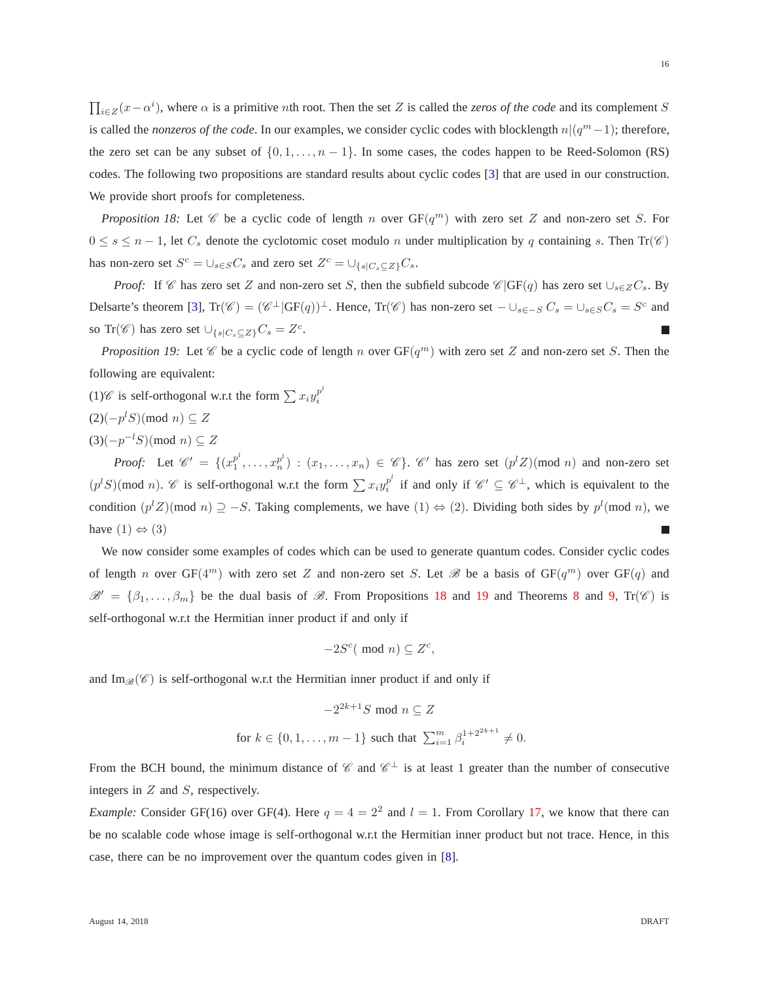$\prod_{i\in Z}(x-\alpha^i)$ , where  $\alpha$  is a primitive *n*th root. Then the set Z is called the *zeros of the code* and its complement S is called the *nonzeros of the code*. In our examples, we consider cyclic codes with blocklength  $n|(q^m-1)$ ; therefore, the zero set can be any subset of  $\{0, 1, \ldots, n-1\}$ . In some cases, the codes happen to be Reed-Solomon (RS) codes. The following two propositions are standard results about cyclic codes [\[3\]](#page-18-0) that are used in our construction. We provide short proofs for completeness.

<span id="page-16-0"></span>*Proposition 18:* Let  $\mathscr C$  be a cyclic code of length n over  $GF(q^m)$  with zero set Z and non-zero set S. For  $0 \leq s \leq n-1$ , let  $C_s$  denote the cyclotomic coset modulo n under multiplication by q containing s. Then Tr( $\mathscr{C}$ ) has non-zero set  $S^c = \bigcup_{s \in S} C_s$  and zero set  $Z^c = \bigcup_{\{s \mid C_s \subseteq Z\}} C_s$ .

*Proof:* If  $\mathscr C$  has zero set Z and non-zero set S, then the subfield subcode  $\mathscr C$ |GF(q) has zero set  $\cup_{s\in Z}C_s$ . By Delsarte's theorem [\[3\]](#page-18-0),  $\text{Tr}(\mathscr{C}) = (\mathscr{C}^{\perp}|\text{GF}(q))^{\perp}$ . Hence,  $\text{Tr}(\mathscr{C})$  has non-zero set  $-\cup_{s \in -S} C_s = \cup_{s \in S} C_s = S^c$  and so Tr( $\mathscr{C}$ ) has zero set  $\cup_{\{s|C_s \subseteq Z\}} C_s = Z^c$ .

<span id="page-16-1"></span>*Proposition 19:* Let  $\mathscr C$  be a cyclic code of length n over  $GF(q^m)$  with zero set Z and non-zero set S. Then the following are equivalent:

- (1)  $\mathscr{C}$  is self-orthogonal w.r.t the form  $\sum x_i y_i^{p^l}$ i
- $(2)(-p<sup>l</sup>S)$ (mod *n*) ⊆ Z
- $(3)(-p^{-l}S)(\text{mod } n) \subseteq Z$

*Proof:* Let  $\mathscr{C}' = \{(x_1^{p^l})\}$  $(p^{l}, p^{l}, \ldots, x_{n}^{p^{l}})$  :  $(x_{1}, \ldots, x_{n}) \in \mathscr{C}$ .  $\mathscr{C}'$  has zero set  $(p^{l}Z)(\text{mod } n)$  and non-zero set  $(p<sup>l</sup>S)$ (mod *n*). *C* is self-orthogonal w.r.t the form  $\sum x_i y_i^{p^l}$  $i<sup>p<sup>i</sup></sup>$  if and only if  $\mathscr{C}' \subseteq \mathscr{C}^{\perp}$ , which is equivalent to the condition  $(p<sup>l</sup>Z)(\text{mod } n) \supseteq -S$ . Taking complements, we have  $(1) \Leftrightarrow (2)$ . Dividing both sides by  $p<sup>l</sup>(\text{mod } n)$ , we have  $(1) \Leftrightarrow (3)$ г

We now consider some examples of codes which can be used to generate quantum codes. Consider cyclic codes of length n over  $GF(4^m)$  with zero set Z and non-zero set S. Let  $\mathscr B$  be a basis of  $GF(q^m)$  over  $GF(q)$  and  $\mathscr{B}' = {\beta_1, \ldots, \beta_m}$  be the dual basis of  $\mathscr{B}$ . From Propositions [18](#page-16-0) and [19](#page-16-1) and Theorems [8](#page-10-0) and [9,](#page-10-1) Tr( $\mathscr{C}$ ) is self-orthogonal w.r.t the Hermitian inner product if and only if

$$
-2S^c(\text{ mod } n) \subseteq Z^c,
$$

and Im $\mathcal{B}(\mathscr{C})$  is self-orthogonal w.r.t the Hermitian inner product if and only if

$$
-2^{2k+1}S \mod n \subseteq Z
$$
  
for  $k \in \{0, 1, \dots, m-1\}$  such that  $\sum_{i=1}^{m} \beta_i^{1+2^{2k+1}} \neq 0$ .

From the BCH bound, the minimum distance of  $\mathscr{C}$  and  $\mathscr{C}^{\perp}$  is at least 1 greater than the number of consecutive integers in  $Z$  and  $S$ , respectively.

*Example:* Consider GF(16) over GF(4). Here  $q = 4 = 2^2$  and  $l = 1$ . From Corollary [17,](#page-15-2) we know that there can be no scalable code whose image is self-orthogonal w.r.t the Hermitian inner product but not trace. Hence, in this case, there can be no improvement over the quantum codes given in [\[8\]](#page-18-6).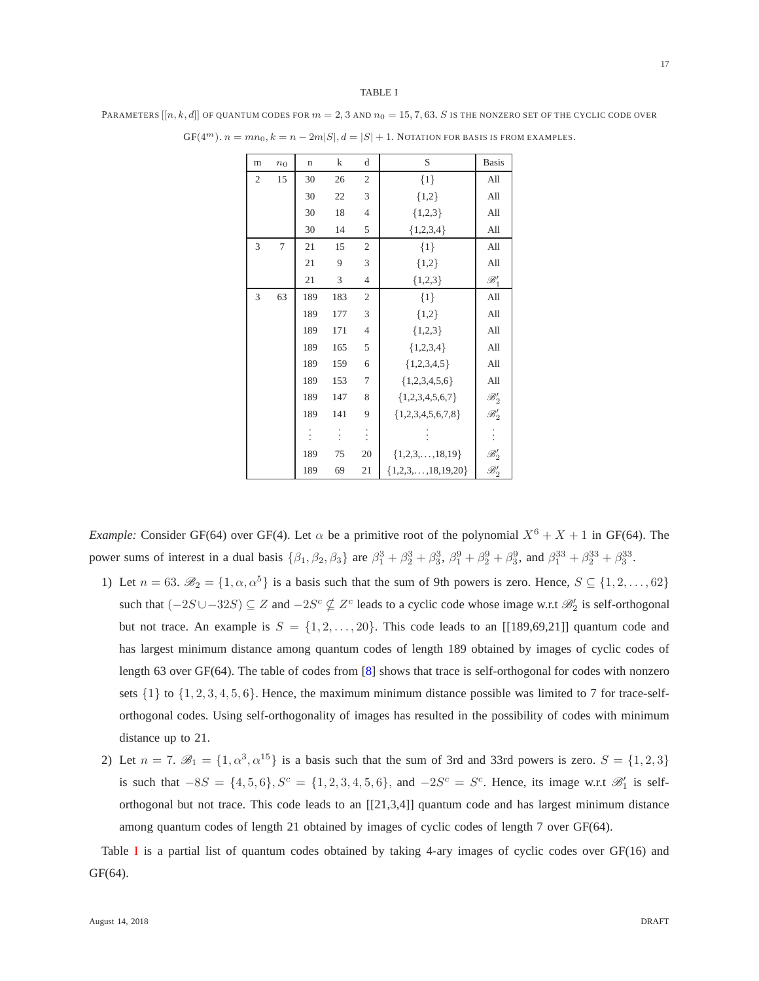#### TABLE I

<span id="page-17-0"></span>PARAMETERS  $[[n, k, d]]$  of quantum codes for  $m = 2, 3$  and  $n_0 = 15, 7, 63$ . S is the nonzero set of the cyclic code over

| m              | n <sub>0</sub> | $\mathbf n$ | $\bf k$ | d              | S                           | <b>Basis</b>                      |
|----------------|----------------|-------------|---------|----------------|-----------------------------|-----------------------------------|
| $\overline{2}$ | 15             | 30          | 26      | $\overline{2}$ | $\{1\}$                     | All                               |
|                |                | 30          | 22      | 3              | ${1,2}$                     | All                               |
|                |                | 30          | 18      | $\overline{4}$ | ${1,2,3}$                   | All                               |
|                |                | 30          | 14      | 5              | ${1,2,3,4}$                 | All                               |
| 3              | 7              | 21          | 15      | $\mathfrak{2}$ | $\{1\}$                     | All                               |
|                |                | 21          | 9       | 3              | ${1,2}$                     | All                               |
|                |                | 21          | 3       | $\overline{4}$ | ${1,2,3}$                   | $\mathscr{B}'_1$                  |
| 3              | 63             | 189         | 183     | $\overline{2}$ | $\{1\}$                     | All                               |
|                |                | 189         | 177     | 3              | ${1,2}$                     | All                               |
|                |                | 189         | 171     | $\overline{4}$ | ${1,2,3}$                   | All                               |
|                |                | 189         | 165     | 5              | ${1,2,3,4}$                 | All                               |
|                |                | 189         | 159     | 6              | ${1,2,3,4,5}$               | All                               |
|                |                | 189         | 153     | $\overline{7}$ | ${1,2,3,4,5,6}$             | All                               |
|                |                | 189         | 147     | 8              | ${1,2,3,4,5,6,7}$           | $\mathscr{B}_2'$                  |
|                |                | 189         | 141     | 9              | ${1,2,3,4,5,6,7,8}$         | $\mathscr{B}_2'$                  |
|                |                |             |         | $\ddot{\cdot}$ |                             | $\vdots$                          |
|                |                | 189         | 75      | 20             | ${1,2,3,,18,19}$            |                                   |
|                |                | 189         | 69      | 21             | $\{1,2,3,\ldots,18,19,20\}$ | $\mathscr{B}_2' \ \mathscr{B}_2'$ |

 $GF(4^m)$ .  $n = mn_0$ ,  $k = n - 2m|S|$ ,  $d = |S| + 1$ . Notation for basis is from examples.

*Example:* Consider GF(64) over GF(4). Let  $\alpha$  be a primitive root of the polynomial  $X^6 + X + 1$  in GF(64). The power sums of interest in a dual basis  $\{\beta_1, \beta_2, \beta_3\}$  are  $\beta_1^3 + \beta_2^3 + \beta_3^3$ ,  $\beta_1^9 + \beta_2^9 + \beta_3^9$ , and  $\beta_1^{33} + \beta_2^{33} + \beta_3^{33}$ .

- 1) Let  $n = 63$ .  $\mathscr{B}_2 = \{1, \alpha, \alpha^5\}$  is a basis such that the sum of 9th powers is zero. Hence,  $S \subseteq \{1, 2, ..., 62\}$ such that  $(-2S\cup -32S) \subseteq Z$  and  $-2S^c \nsubseteq Z^c$  leads to a cyclic code whose image w.r.t  $\mathscr{B}'_2$  is self-orthogonal but not trace. An example is  $S = \{1, 2, \ldots, 20\}$ . This code leads to an [[189,69,21]] quantum code and has largest minimum distance among quantum codes of length 189 obtained by images of cyclic codes of length 63 over GF(64). The table of codes from [\[8\]](#page-18-6) shows that trace is self-orthogonal for codes with nonzero sets  $\{1\}$  to  $\{1, 2, 3, 4, 5, 6\}$ . Hence, the maximum minimum distance possible was limited to 7 for trace-selforthogonal codes. Using self-orthogonality of images has resulted in the possibility of codes with minimum distance up to 21.
- 2) Let  $n = 7$ .  $\mathscr{B}_1 = \{1, \alpha^3, \alpha^{15}\}\$ is a basis such that the sum of 3rd and 33rd powers is zero.  $S = \{1, 2, 3\}\$ is such that  $-8S = \{4, 5, 6\}$ ,  $S^c = \{1, 2, 3, 4, 5, 6\}$ , and  $-2S^c = S^c$ . Hence, its image w.r.t  $\mathcal{B}'_1$  is selforthogonal but not trace. This code leads to an [[21,3,4]] quantum code and has largest minimum distance among quantum codes of length 21 obtained by images of cyclic codes of length 7 over GF(64).

Table [I](#page-17-0) is a partial list of quantum codes obtained by taking 4-ary images of cyclic codes over  $GF(16)$  and GF(64).